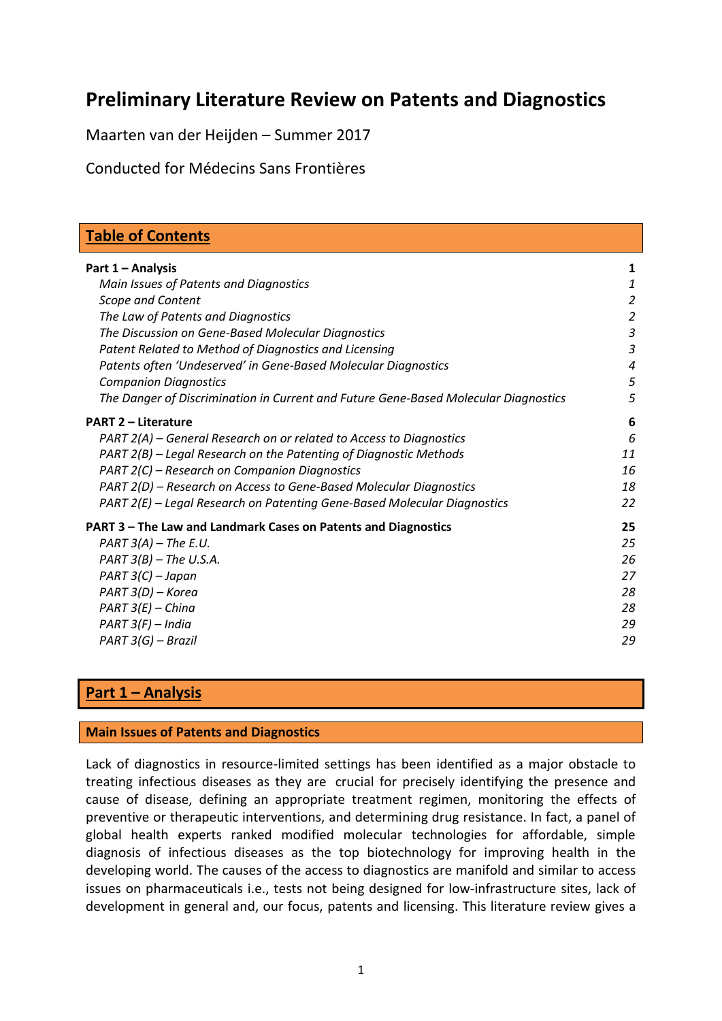# **Preliminary Literature Review on Patents and Diagnostics**

Maarten van der Heijden – Summer 2017

Conducted for Médecins Sans Frontières

| <b>Table of Contents</b>                                                            |                  |
|-------------------------------------------------------------------------------------|------------------|
| Part 1 - Analysis                                                                   | 1                |
| Main Issues of Patents and Diagnostics                                              | $\boldsymbol{1}$ |
| <b>Scope and Content</b>                                                            | $\overline{2}$   |
| The Law of Patents and Diagnostics                                                  | $\overline{2}$   |
| The Discussion on Gene-Based Molecular Diagnostics                                  | $\mathfrak{Z}$   |
| Patent Related to Method of Diagnostics and Licensing                               | $\mathfrak{Z}$   |
| Patents often 'Undeserved' in Gene-Based Molecular Diagnostics                      | $\boldsymbol{4}$ |
| <b>Companion Diagnostics</b>                                                        | 5                |
| The Danger of Discrimination in Current and Future Gene-Based Molecular Diagnostics | 5                |
| <b>PART 2 - Literature</b>                                                          | 6                |
| PART 2(A) – General Research on or related to Access to Diagnostics                 | 6                |
| PART 2(B) – Legal Research on the Patenting of Diagnostic Methods                   | 11               |
| PART 2(C) – Research on Companion Diagnostics                                       | 16               |
| PART 2(D) - Research on Access to Gene-Based Molecular Diagnostics                  | 18               |
| PART 2(E) - Legal Research on Patenting Gene-Based Molecular Diagnostics            | 22               |
| PART 3 - The Law and Landmark Cases on Patents and Diagnostics                      | 25               |
| $PART 3(A) - The E.U.$                                                              | 25               |
| $PART 3(B) - The U.S.A.$                                                            | 26               |
| $PART 3(C) - Japan$                                                                 | 27               |
| PART 3(D) - Korea                                                                   | 28               |
| $PART 3(E) - China$                                                                 | 28               |
| $PART 3(F) - India$                                                                 | 29               |
| PART 3(G) - Brazil                                                                  | 29               |

### **Part 1 – Analysis**

#### **Main Issues of Patents and Diagnostics**

Lack of diagnostics in resource-limited settings has been identified as a major obstacle to treating infectious diseases as they are crucial for precisely identifying the presence and cause of disease, defining an appropriate treatment regimen, monitoring the effects of preventive or therapeutic interventions, and determining drug resistance. In fact, a panel of global health experts ranked modified molecular technologies for affordable, simple diagnosis of infectious diseases as the top biotechnology for improving health in the developing world. The causes of the access to diagnostics are manifold and similar to access issues on pharmaceuticals i.e., tests not being designed for low-infrastructure sites, lack of development in general and, our focus, patents and licensing. This literature review gives a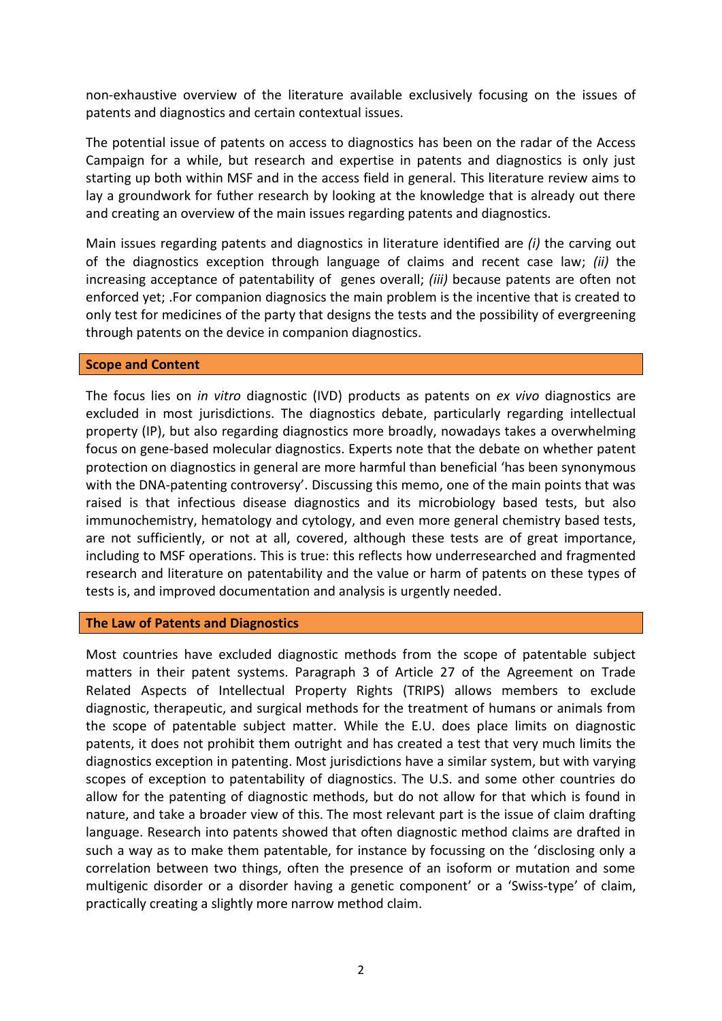non-exhaustive overview of the literature available exclusively focusing on the issues of patents and diagnostics and certain contextual issues.

The potential issue of patents on access to diagnostics has been on the radar of the Access Campaign for a while, but research and expertise in patents and diagnostics is only just starting up both within MSF and in the access field in general. This literature review aims to lay a groundwork for futher research by looking at the knowledge that is already out there and creating an overview of the main issues regarding patents and diagnostics.

Main issues regarding patents and diagnostics in literature identified are *(i)* the carving out of the diagnostics exception through language of claims and recent case law; *(ii)* the increasing acceptance of patentability of genes overall; *(iii)* because patents are often not enforced yet; .For companion diagnosics the main problem is the incentive that is created to only test for medicines of the party that designs the tests and the possibility of evergreening through patents on the device in companion diagnostics.

#### **Scope and Content**

The focus lies on *in vitro* diagnostic (IVD) products as patents on *ex vivo* diagnostics are excluded in most jurisdictions. The diagnostics debate, particularly regarding intellectual property (IP), but also regarding diagnostics more broadly, nowadays takes a overwhelming focus on gene-based molecular diagnostics. Experts note that the debate on whether patent protection on diagnostics in general are more harmful than beneficial 'has been synonymous with the DNA-patenting controversy'. Discussing this memo, one of the main points that was raised is that infectious disease diagnostics and its microbiology based tests, but also immunochemistry, hematology and cytology, and even more general chemistry based tests, are not sufficiently, or not at all, covered, although these tests are of great importance, including to MSF operations. This is true: this reflects how underresearched and fragmented research and literature on patentability and the value or harm of patents on these types of tests is, and improved documentation and analysis is urgently needed.

#### **The Law of Patents and Diagnostics**

Most countries have excluded diagnostic methods from the scope of patentable subject matters in their patent systems. Paragraph 3 of Article 27 of the Agreement on Trade Related Aspects of Intellectual Property Rights (TRIPS) allows members to exclude diagnostic, therapeutic, and surgical methods for the treatment of humans or animals from the scope of patentable subject matter. While the E.U. does place limits on diagnostic patents, it does not prohibit them outright and has created a test that very much limits the diagnostics exception in patenting. Most jurisdictions have a similar system, but with varying scopes of exception to patentability of diagnostics. The U.S. and some other countries do allow for the patenting of diagnostic methods, but do not allow for that which is found in nature, and take a broader view of this. The most relevant part is the issue of claim drafting language. Research into patents showed that often diagnostic method claims are drafted in such a way as to make them patentable, for instance by focussing on the 'disclosing only a correlation between two things, often the presence of an isoform or mutation and some multigenic disorder or a disorder having a genetic component' or a 'Swiss-type' of claim, practically creating a slightly more narrow method claim.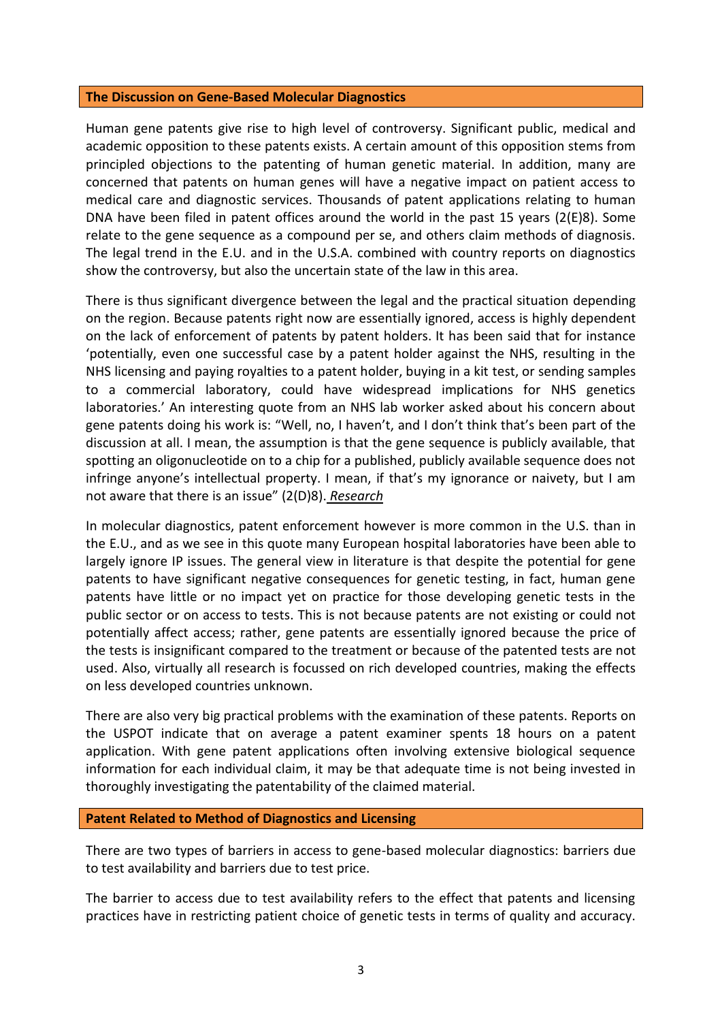#### **The Discussion on Gene-Based Molecular Diagnostics**

Human gene patents give rise to high level of controversy. Significant public, medical and academic opposition to these patents exists. A certain amount of this opposition stems from principled objections to the patenting of human genetic material. In addition, many are concerned that patents on human genes will have a negative impact on patient access to medical care and diagnostic services. Thousands of patent applications relating to human DNA have been filed in patent offices around the world in the past 15 years (2(E[\)8\)](#page-24-0). Some relate to the gene sequence as a compound per se, and others claim methods of diagnosis. The legal trend in the E.U. and in the U.S.A. combined with country reports on diagnostics show the controversy, but also the uncertain state of the law in this area.

There is thus significant divergence between the legal and the practical situation depending on the region. Because patents right now are essentially ignored, access is highly dependent on the lack of enforcement of patents by patent holders. It has been said that for instance 'potentially, even one successful case by a patent holder against the NHS, resulting in the NHS licensing and paying royalties to a patent holder, buying in a kit test, or sending samples to a commercial laboratory, could have widespread implications for NHS genetics laboratories.' An interesting quote from an NHS lab worker asked about his concern about gene patents doing his work is: "Well, no, I haven't, and I don't think that's been part of the discussion at all. I mean, the assumption is that the gene sequence is publicly available, that spotting an oligonucleotide on to a chip for a published, publicly available sequence does not infringe anyone's intellectual property. I mean, if that's my ignorance or naivety, but I am not aware that there is an issue" (2(D[\)8\)](#page-21-0). *Research*

In molecular diagnostics, patent enforcement however is more common in the U.S. than in the E.U., and as we see in this quote many European hospital laboratories have been able to largely ignore IP issues. The general view in literature is that despite the potential for gene patents to have significant negative consequences for genetic testing, in fact, human gene patents have little or no impact yet on practice for those developing genetic tests in the public sector or on access to tests. This is not because patents are not existing or could not potentially affect access; rather, gene patents are essentially ignored because the price of the tests is insignificant compared to the treatment or because of the patented tests are not used. Also, virtually all research is focussed on rich developed countries, making the effects on less developed countries unknown.

There are also very big practical problems with the examination of these patents. Reports on the USPOT indicate that on average a patent examiner spents 18 hours on a patent application. With gene patent applications often involving extensive biological sequence information for each individual claim, it may be that adequate time is not being invested in thoroughly investigating the patentability of the claimed material.

#### **Patent Related to Method of Diagnostics and Licensing**

There are two types of barriers in access to gene-based molecular diagnostics: barriers due to test availability and barriers due to test price.

The barrier to access due to test availability refers to the effect that patents and licensing practices have in restricting patient choice of genetic tests in terms of quality and accuracy.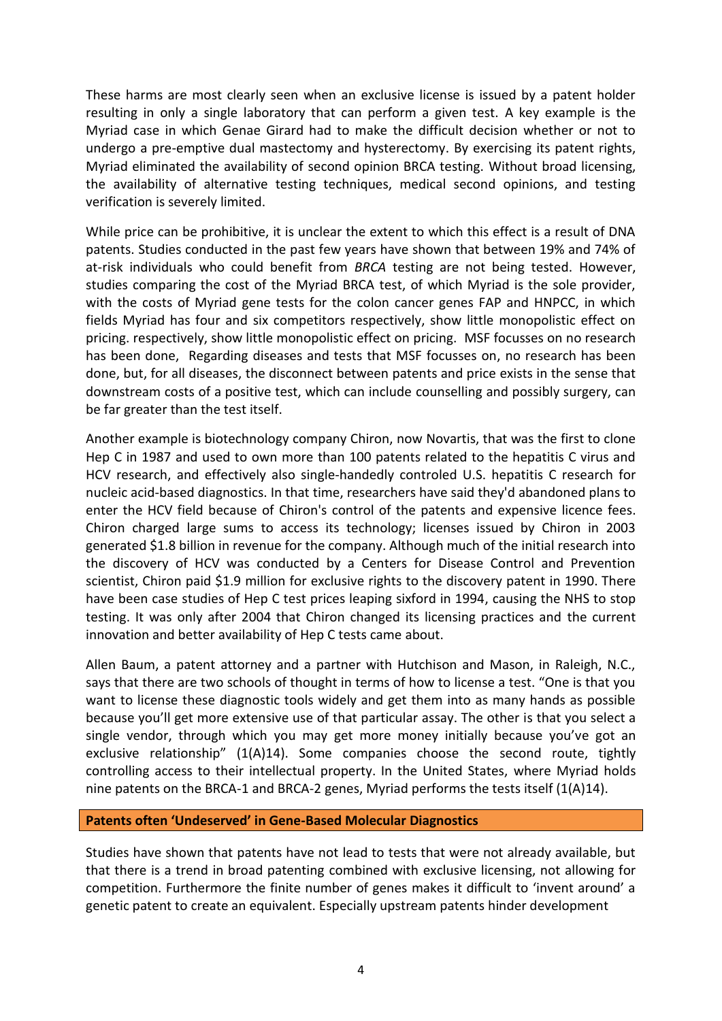These harms are most clearly seen when an exclusive license is issued by a patent holder resulting in only a single laboratory that can perform a given test. A key example is the Myriad case in which Genae Girard had to make the difficult decision whether or not to undergo a pre-emptive dual mastectomy and hysterectomy. By exercising its patent rights, Myriad eliminated the availability of second opinion BRCA testing. Without broad licensing, the availability of alternative testing techniques, medical second opinions, and testing verification is severely limited.

While price can be prohibitive, it is unclear the extent to which this effect is a result of DNA patents. Studies conducted in the past few years have shown that between 19% and 74% of at-risk individuals who could benefit from *BRCA* testing are not being tested. However, studies comparing the cost of the Myriad BRCA test, of which Myriad is the sole provider, with the costs of Myriad gene tests for the colon cancer genes FAP and HNPCC, in which fields Myriad has four and six competitors respectively, show little monopolistic effect on pricing. respectively, show little monopolistic effect on pricing. MSF focusses on no research has been done, Regarding diseases and tests that MSF focusses on, no research has been done, but, for all diseases, the disconnect between patents and price exists in the sense that downstream costs of a positive test, which can include counselling and possibly surgery, can be far greater than the test itself.

Another example is biotechnology company Chiron, now Novartis, that was the first to clone Hep C in 1987 and used to own more than 100 patents related to the hepatitis C virus and HCV research, and effectively also single-handedly controled U.S. hepatitis C research for nucleic acid-based diagnostics. In that time, researchers have said they'd abandoned plans to enter the HCV field because of Chiron's control of the patents and expensive licence fees. Chiron charged large sums to access its technology; licenses issued by Chiron in 2003 generated \$1.8 billion in revenue for the company. Although much of the initial research into the discovery of HCV was conducted by a Centers for Disease Control and Prevention scientist, Chiron paid \$1.9 million for exclusive rights to the discovery patent in 1990. There have been case studies of Hep C test prices leaping sixford in 1994, causing the NHS to stop testing. It was only after 2004 that Chiron changed its licensing practices and the current innovation and better availability of Hep C tests came about.

Allen Baum, a patent attorney and a partner with Hutchison and Mason, in Raleigh, N.C., says that there are two schools of thought in terms of how to license a test. "One is that you want to license these diagnostic tools widely and get them into as many hands as possible because you'll get more extensive use of that particular assay. The other is that you select a single vendor, through which you may get more money initially because you've got an exclusive relationship"  $(1(A)14)$  $(1(A)14)$ . Some companies choose the second route, tightly controlling access to their intellectual property. In the United States, where Myriad holds nine patents on the BRCA-1 and BRCA-2 genes, Myriad performs the tests itself (1(A[\)14\)](#page-10-0).

#### **Patents often 'Undeserved' in Gene-Based Molecular Diagnostics**

Studies have shown that patents have not lead to tests that were not already available, but that there is a trend in broad patenting combined with exclusive licensing, not allowing for competition. Furthermore the finite number of genes makes it difficult to 'invent around' a genetic patent to create an equivalent. Especially upstream patents hinder development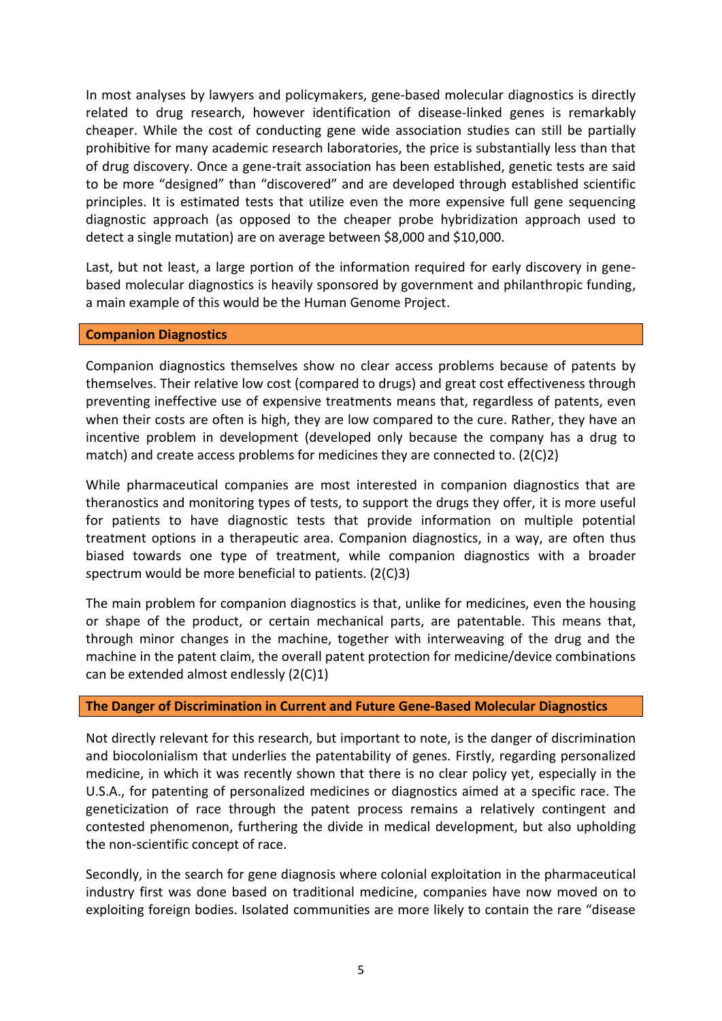In most analyses by lawyers and policymakers, gene-based molecular diagnostics is directly related to drug research, however identification of disease-linked genes is remarkably cheaper. While the cost of conducting gene wide association studies can still be partially prohibitive for many academic research laboratories, the price is substantially less than that of drug discovery. Once a gene-trait association has been established, genetic tests are said to be more "designed" than "discovered" and are developed through established scientific principles. It is estimated tests that utilize even the more expensive full gene sequencing diagnostic approach (as opposed to the cheaper probe hybridization approach used to detect a single mutation) are on average between \$8,000 and \$10,000.

Last, but not least, a large portion of the information required for early discovery in genebased molecular diagnostics is heavily sponsored by government and philanthropic funding, a main example of this would be the Human Genome Project.

#### **Companion Diagnostics**

Companion diagnostics themselves show no clear access problems because of patents by themselves. Their relative low cost (compared to drugs) and great cost effectiveness through preventing ineffective use of expensive treatments means that, regardless of patents, even when their costs are often is high, they are low compared to the cure. Rather, they have an incentive problem in development (developed only because the company has a drug to match) and create access problems for medicines they are connected to.  $(2(C)2)$  $(2(C)2)$ 

While pharmaceutical companies are most interested in companion diagnostics that are theranostics and monitoring types of tests, to support the drugs they offer, it is more useful for patients to have diagnostic tests that provide information on multiple potential treatment options in a therapeutic area. Companion diagnostics, in a way, are often thus biased towards one type of treatment, while companion diagnostics with a broader spectrum would be more beneficial to patients. (2(C[\)3\)](#page-16-0)

The main problem for companion diagnostics is that, unlike for medicines, even the housing or shape of the product, or certain mechanical parts, are patentable. This means that, through minor changes in the machine, together with interweaving of the drug and the machine in the patent claim, the overall patent protection for medicine/device combinations can be extended almost endlessly (2(C[\)1\)](#page-15-1)

### **The Danger of Discrimination in Current and Future Gene-Based Molecular Diagnostics**

Not directly relevant for this research, but important to note, is the danger of discrimination and biocolonialism that underlies the patentability of genes. Firstly, regarding personalized medicine, in which it was recently shown that there is no clear policy yet, especially in the U.S.A., for patenting of personalized medicines or diagnostics aimed at a specific race. The geneticization of race through the patent process remains a relatively contingent and contested phenomenon, furthering the divide in medical development, but also upholding the non-scientific concept of race.

Secondly, in the search for gene diagnosis where colonial exploitation in the pharmaceutical industry first was done based on traditional medicine, companies have now moved on to exploiting foreign bodies. Isolated communities are more likely to contain the rare "disease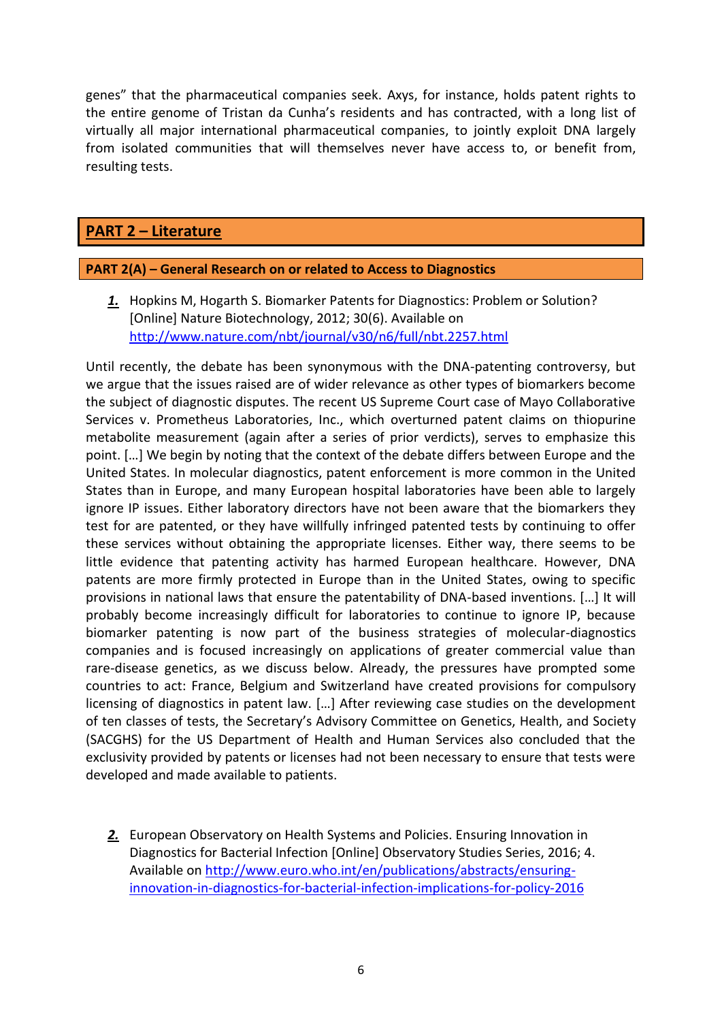genes" that the pharmaceutical companies seek. Axys, for instance, holds patent rights to the entire genome of Tristan da Cunha's residents and has contracted, with a long list of virtually all major international pharmaceutical companies, to jointly exploit DNA largely from isolated communities that will themselves never have access to, or benefit from, resulting tests.

# **PART 2 – Literature**

### **PART 2(A) – General Research on or related to Access to Diagnostics**

*1.* Hopkins M, Hogarth S. Biomarker Patents for Diagnostics: Problem or Solution? [Online] Nature Biotechnology, 2012; 30(6). Available on <http://www.nature.com/nbt/journal/v30/n6/full/nbt.2257.html>

Until recently, the debate has been synonymous with the DNA-patenting controversy, but we argue that the issues raised are of wider relevance as other types of biomarkers become the subject of diagnostic disputes. The recent US Supreme Court case of Mayo Collaborative Services v. Prometheus Laboratories, Inc., which overturned patent claims on thiopurine metabolite measurement (again after a series of prior verdicts), serves to emphasize this point. […] We begin by noting that the context of the debate differs between Europe and the United States. In molecular diagnostics, patent enforcement is more common in the United States than in Europe, and many European hospital laboratories have been able to largely ignore IP issues. Either laboratory directors have not been aware that the biomarkers they test for are patented, or they have willfully infringed patented tests by continuing to offer these services without obtaining the appropriate licenses. Either way, there seems to be little evidence that patenting activity has harmed European healthcare. However, DNA patents are more firmly protected in Europe than in the United States, owing to specific provisions in national laws that ensure the patentability of DNA-based inventions. […] It will probably become increasingly difficult for laboratories to continue to ignore IP, because biomarker patenting is now part of the business strategies of molecular-diagnostics companies and is focused increasingly on applications of greater commercial value than rare-disease genetics, as we discuss below. Already, the pressures have prompted some countries to act: France, Belgium and Switzerland have created provisions for compulsory licensing of diagnostics in patent law. […] After reviewing case studies on the development of ten classes of tests, the Secretary's Advisory Committee on Genetics, Health, and Society (SACGHS) for the US Department of Health and Human Services also concluded that the exclusivity provided by patents or licenses had not been necessary to ensure that tests were developed and made available to patients.

*2.* European Observatory on Health Systems and Policies. Ensuring Innovation in Diagnostics for Bacterial Infection [Online] Observatory Studies Series, 2016; 4. Available on [http://www.euro.who.int/en/publications/abstracts/ensuring](http://www.euro.who.int/en/publications/abstracts/ensuring-innovation-in-diagnostics-for-bacterial-infection-implications-for-policy-2016)[innovation-in-diagnostics-for-bacterial-infection-implications-for-policy-2016](http://www.euro.who.int/en/publications/abstracts/ensuring-innovation-in-diagnostics-for-bacterial-infection-implications-for-policy-2016)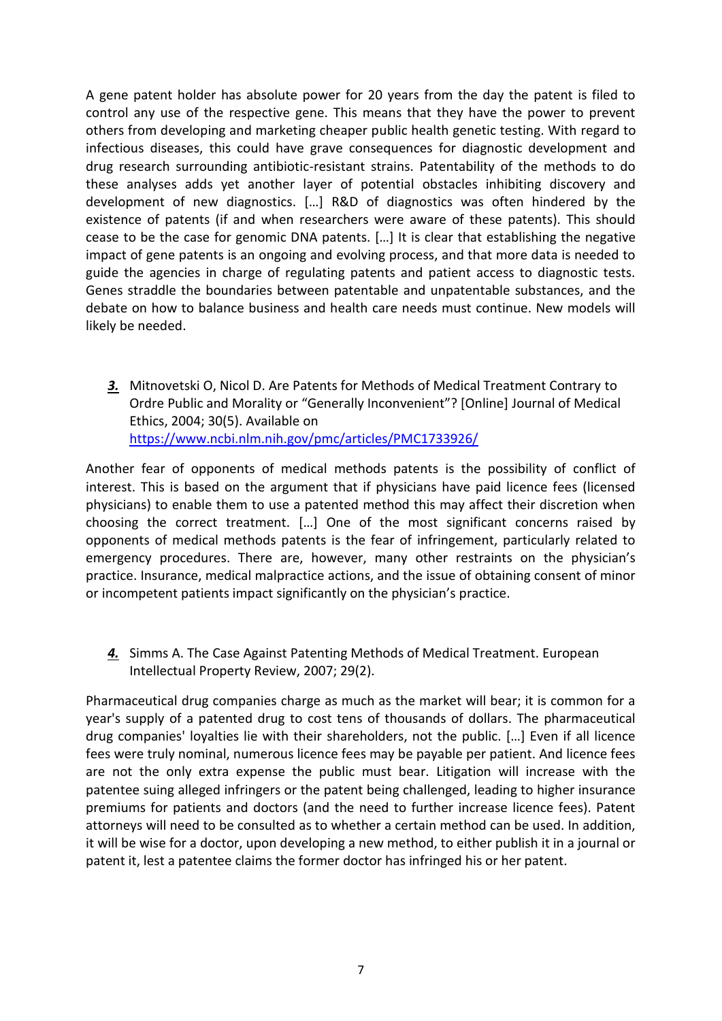A gene patent holder has absolute power for 20 years from the day the patent is filed to control any use of the respective gene. This means that they have the power to prevent others from developing and marketing cheaper public health genetic testing. With regard to infectious diseases, this could have grave consequences for diagnostic development and drug research surrounding antibiotic-resistant strains. Patentability of the methods to do these analyses adds yet another layer of potential obstacles inhibiting discovery and development of new diagnostics. […] R&D of diagnostics was often hindered by the existence of patents (if and when researchers were aware of these patents). This should cease to be the case for genomic DNA patents. […] It is clear that establishing the negative impact of gene patents is an ongoing and evolving process, and that more data is needed to guide the agencies in charge of regulating patents and patient access to diagnostic tests. Genes straddle the boundaries between patentable and unpatentable substances, and the debate on how to balance business and health care needs must continue. New models will likely be needed.

*3.* Mitnovetski O, Nicol D. Are Patents for Methods of Medical Treatment Contrary to Ordre Public and Morality or "Generally Inconvenient"? [Online] Journal of Medical Ethics, 2004; 30(5). Available on <https://www.ncbi.nlm.nih.gov/pmc/articles/PMC1733926/>

Another fear of opponents of medical methods patents is the possibility of conflict of interest. This is based on the argument that if physicians have paid licence fees (licensed physicians) to enable them to use a patented method this may affect their discretion when choosing the correct treatment. […] One of the most significant concerns raised by opponents of medical methods patents is the fear of infringement, particularly related to emergency procedures. There are, however, many other restraints on the physician's practice. Insurance, medical malpractice actions, and the issue of obtaining consent of minor or incompetent patients impact significantly on the physician's practice.

*4.* Simms A. The Case Against Patenting Methods of Medical Treatment. European Intellectual Property Review, 2007; 29(2).

Pharmaceutical drug companies charge as much as the market will bear; it is common for a year's supply of a patented drug to cost tens of thousands of dollars. The pharmaceutical drug companies' loyalties lie with their shareholders, not the public. […] Even if all licence fees were truly nominal, numerous licence fees may be payable per patient. And licence fees are not the only extra expense the public must bear. Litigation will increase with the patentee suing alleged infringers or the patent being challenged, leading to higher insurance premiums for patients and doctors (and the need to further increase licence fees). Patent attorneys will need to be consulted as to whether a certain method can be used. In addition, it will be wise for a doctor, upon developing a new method, to either publish it in a journal or patent it, lest a patentee claims the former doctor has infringed his or her patent.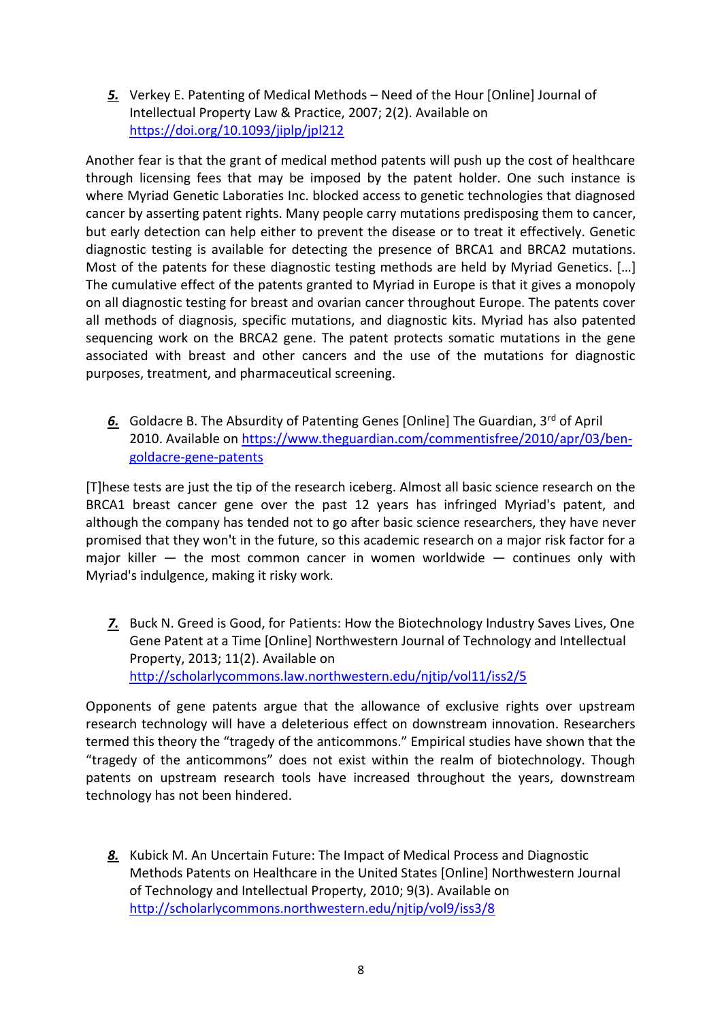*5.* Verkey E. Patenting of Medical Methods – Need of the Hour [Online] Journal of Intellectual Property Law & Practice, 2007; 2(2). Available on <https://doi.org/10.1093/jiplp/jpl212>

Another fear is that the grant of medical method patents will push up the cost of healthcare through licensing fees that may be imposed by the patent holder. One such instance is where Myriad Genetic Laboraties Inc. blocked access to genetic technologies that diagnosed cancer by asserting patent rights. Many people carry mutations predisposing them to cancer, but early detection can help either to prevent the disease or to treat it effectively. Genetic diagnostic testing is available for detecting the presence of BRCA1 and BRCA2 mutations. Most of the patents for these diagnostic testing methods are held by Myriad Genetics. […] The cumulative effect of the patents granted to Myriad in Europe is that it gives a monopoly on all diagnostic testing for breast and ovarian cancer throughout Europe. The patents cover all methods of diagnosis, specific mutations, and diagnostic kits. Myriad has also patented sequencing work on the BRCA2 gene. The patent protects somatic mutations in the gene associated with breast and other cancers and the use of the mutations for diagnostic purposes, treatment, and pharmaceutical screening.

6. Goldacre B. The Absurdity of Patenting Genes [Online] The Guardian, 3<sup>rd</sup> of April 2010. Available on [https://www.theguardian.com/commentisfree/2010/apr/03/ben](https://www.theguardian.com/commentisfree/2010/apr/03/ben-goldacre-gene-patents)[goldacre-gene-patents](https://www.theguardian.com/commentisfree/2010/apr/03/ben-goldacre-gene-patents)

[T]hese tests are just the tip of the research iceberg. Almost all basic science research on the BRCA1 breast cancer gene over the past 12 years has infringed Myriad's patent, and although the company has tended not to go after basic science researchers, they have never promised that they won't in the future, so this academic research on a major risk factor for a major killer  $-$  the most common cancer in women worldwide  $-$  continues only with Myriad's indulgence, making it risky work.

*7.* Buck N. Greed is Good, for Patients: How the Biotechnology Industry Saves Lives, One Gene Patent at a Time [Online] Northwestern Journal of Technology and Intellectual Property, 2013; 11(2). Available on <http://scholarlycommons.law.northwestern.edu/njtip/vol11/iss2/5>

Opponents of gene patents argue that the allowance of exclusive rights over upstream research technology will have a deleterious effect on downstream innovation. Researchers termed this theory the "tragedy of the anticommons." Empirical studies have shown that the "tragedy of the anticommons" does not exist within the realm of biotechnology. Though patents on upstream research tools have increased throughout the years, downstream technology has not been hindered.

*8.* Kubick M. An Uncertain Future: The Impact of Medical Process and Diagnostic Methods Patents on Healthcare in the United States [Online] Northwestern Journal of Technology and Intellectual Property, 2010; 9(3). Available on <http://scholarlycommons.northwestern.edu/njtip/vol9/iss3/8>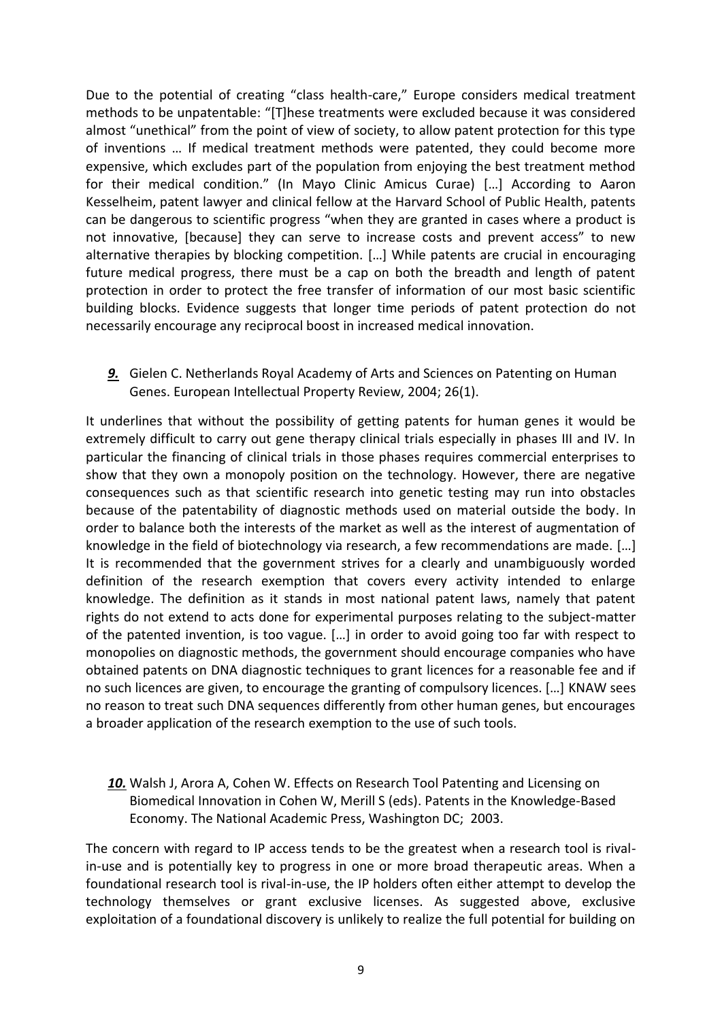Due to the potential of creating "class health-care," Europe considers medical treatment methods to be unpatentable: "[T]hese treatments were excluded because it was considered almost "unethical" from the point of view of society, to allow patent protection for this type of inventions … If medical treatment methods were patented, they could become more expensive, which excludes part of the population from enjoying the best treatment method for their medical condition." (In Mayo Clinic Amicus Curae) […] According to Aaron Kesselheim, patent lawyer and clinical fellow at the Harvard School of Public Health, patents can be dangerous to scientific progress "when they are granted in cases where a product is not innovative, [because] they can serve to increase costs and prevent access" to new alternative therapies by blocking competition. […] While patents are crucial in encouraging future medical progress, there must be a cap on both the breadth and length of patent protection in order to protect the free transfer of information of our most basic scientific building blocks. Evidence suggests that longer time periods of patent protection do not necessarily encourage any reciprocal boost in increased medical innovation.

*9.* Gielen C. Netherlands Royal Academy of Arts and Sciences on Patenting on Human Genes. European Intellectual Property Review, 2004; 26(1).

It underlines that without the possibility of getting patents for human genes it would be extremely difficult to carry out gene therapy clinical trials especially in phases III and IV. In particular the financing of clinical trials in those phases requires commercial enterprises to show that they own a monopoly position on the technology. However, there are negative consequences such as that scientific research into genetic testing may run into obstacles because of the patentability of diagnostic methods used on material outside the body. In order to balance both the interests of the market as well as the interest of augmentation of knowledge in the field of biotechnology via research, a few recommendations are made. […] It is recommended that the government strives for a clearly and unambiguously worded definition of the research exemption that covers every activity intended to enlarge knowledge. The definition as it stands in most national patent laws, namely that patent rights do not extend to acts done for experimental purposes relating to the subject-matter of the patented invention, is too vague. […] in order to avoid going too far with respect to monopolies on diagnostic methods, the government should encourage companies who have obtained patents on DNA diagnostic techniques to grant licences for a reasonable fee and if no such licences are given, to encourage the granting of compulsory licences. […] KNAW sees no reason to treat such DNA sequences differently from other human genes, but encourages a broader application of the research exemption to the use of such tools.

*10.* Walsh J, Arora A, Cohen W. Effects on Research Tool Patenting and Licensing on Biomedical Innovation in Cohen W, Merill S (eds). Patents in the Knowledge-Based Economy. The National Academic Press, Washington DC; 2003.

The concern with regard to IP access tends to be the greatest when a research tool is rivalin-use and is potentially key to progress in one or more broad therapeutic areas. When a foundational research tool is rival-in-use, the IP holders often either attempt to develop the technology themselves or grant exclusive licenses. As suggested above, exclusive exploitation of a foundational discovery is unlikely to realize the full potential for building on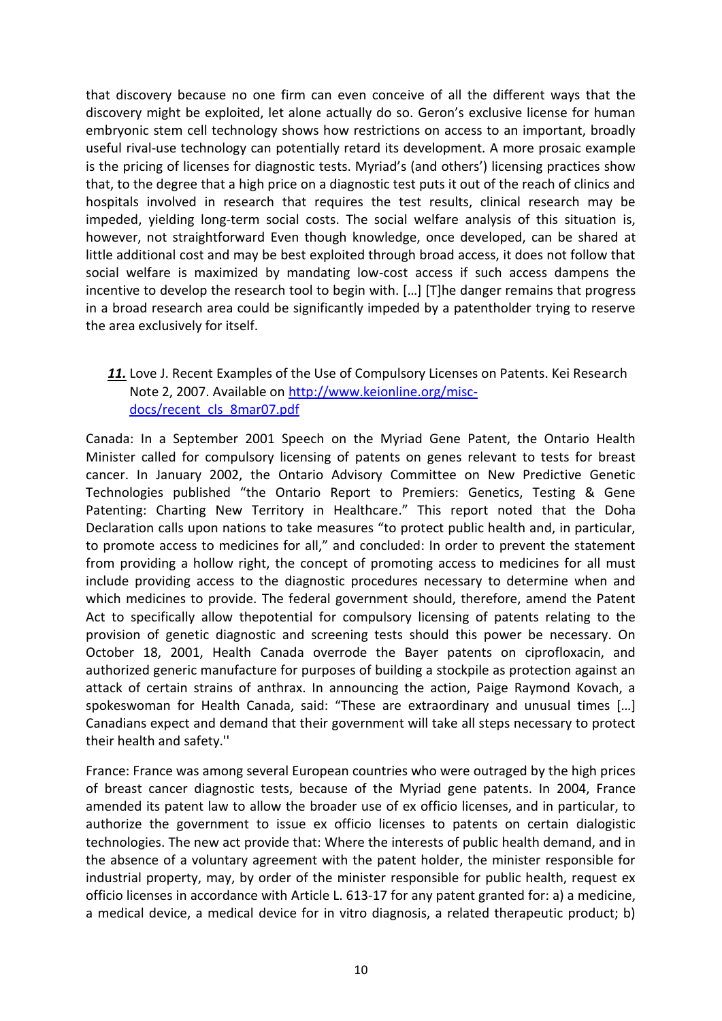that discovery because no one firm can even conceive of all the different ways that the discovery might be exploited, let alone actually do so. Geron's exclusive license for human embryonic stem cell technology shows how restrictions on access to an important, broadly useful rival-use technology can potentially retard its development. A more prosaic example is the pricing of licenses for diagnostic tests. Myriad's (and others') licensing practices show that, to the degree that a high price on a diagnostic test puts it out of the reach of clinics and hospitals involved in research that requires the test results, clinical research may be impeded, yielding long-term social costs. The social welfare analysis of this situation is, however, not straightforward Even though knowledge, once developed, can be shared at little additional cost and may be best exploited through broad access, it does not follow that social welfare is maximized by mandating low-cost access if such access dampens the incentive to develop the research tool to begin with. […] [T]he danger remains that progress in a broad research area could be significantly impeded by a patentholder trying to reserve the area exclusively for itself.

### *11.* Love J. Recent Examples of the Use of Compulsory Licenses on Patents. Kei Research Note 2, 2007. Available on [http://www.keionline.org/misc](http://www.keionline.org/misc-docs/recent_cls_8mar07.pdf)[docs/recent\\_cls\\_8mar07.pdf](http://www.keionline.org/misc-docs/recent_cls_8mar07.pdf)

Canada: In a September 2001 Speech on the Myriad Gene Patent, the Ontario Health Minister called for compulsory licensing of patents on genes relevant to tests for breast cancer. In January 2002, the Ontario Advisory Committee on New Predictive Genetic Technologies published "the Ontario Report to Premiers: Genetics, Testing & Gene Patenting: Charting New Territory in Healthcare." This report noted that the Doha Declaration calls upon nations to take measures "to protect public health and, in particular, to promote access to medicines for all," and concluded: In order to prevent the statement from providing a hollow right, the concept of promoting access to medicines for all must include providing access to the diagnostic procedures necessary to determine when and which medicines to provide. The federal government should, therefore, amend the Patent Act to specifically allow thepotential for compulsory licensing of patents relating to the provision of genetic diagnostic and screening tests should this power be necessary. On October 18, 2001, Health Canada overrode the Bayer patents on ciprofloxacin, and authorized generic manufacture for purposes of building a stockpile as protection against an attack of certain strains of anthrax. In announcing the action, Paige Raymond Kovach, a spokeswoman for Health Canada, said: "These are extraordinary and unusual times […] Canadians expect and demand that their government will take all steps necessary to protect their health and safety.''

France: France was among several European countries who were outraged by the high prices of breast cancer diagnostic tests, because of the Myriad gene patents. In 2004, France amended its patent law to allow the broader use of ex officio licenses, and in particular, to authorize the government to issue ex officio licenses to patents on certain dialogistic technologies. The new act provide that: Where the interests of public health demand, and in the absence of a voluntary agreement with the patent holder, the minister responsible for industrial property, may, by order of the minister responsible for public health, request ex officio licenses in accordance with Article L. 613-17 for any patent granted for: a) a medicine, a medical device, a medical device for in vitro diagnosis, a related therapeutic product; b)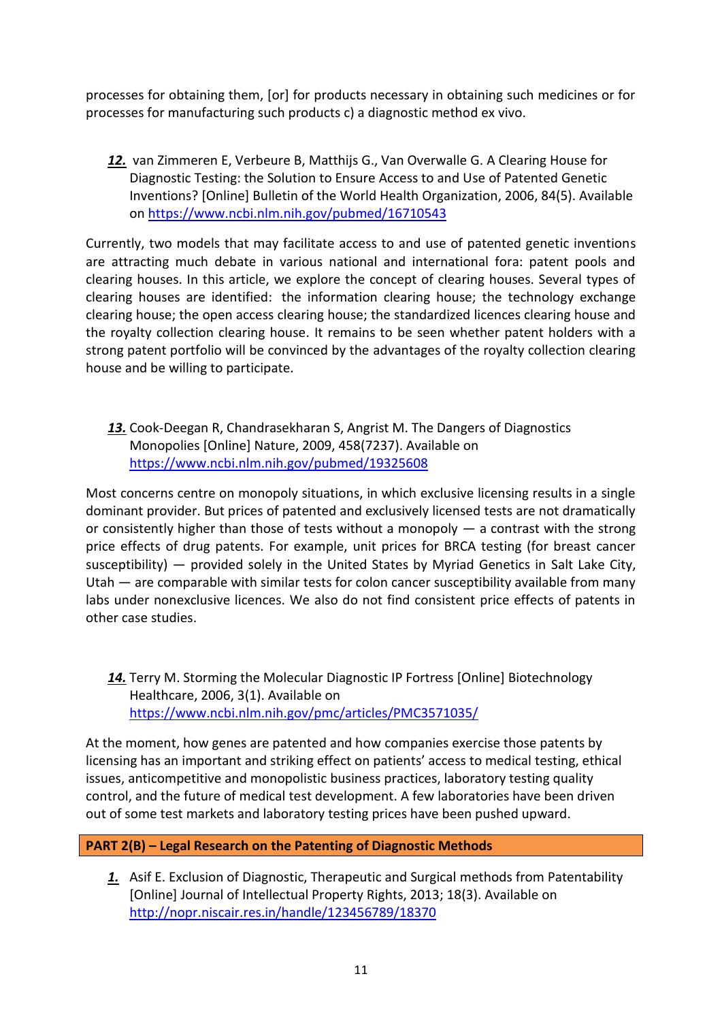processes for obtaining them, [or] for products necessary in obtaining such medicines or for processes for manufacturing such products c) a diagnostic method ex vivo.

*12.* van Zimmeren E, Verbeure B, Matthijs G., Van Overwalle G. A Clearing House for Diagnostic Testing: the Solution to Ensure Access to and Use of Patented Genetic Inventions? [Online] Bulletin of the World Health Organization, 2006, 84(5). Available on <https://www.ncbi.nlm.nih.gov/pubmed/16710543>

Currently, two models that may facilitate access to and use of patented genetic inventions are attracting much debate in various national and international fora: patent pools and clearing houses. In this article, we explore the concept of clearing houses. Several types of clearing houses are identified: the information clearing house; the technology exchange clearing house; the open access clearing house; the standardized licences clearing house and the royalty collection clearing house. It remains to be seen whether patent holders with a strong patent portfolio will be convinced by the advantages of the royalty collection clearing house and be willing to participate.

*13.* Cook-Deegan R, Chandrasekharan S, Angrist M. The Dangers of Diagnostics Monopolies [Online] Nature, 2009, 458(7237). Available on <https://www.ncbi.nlm.nih.gov/pubmed/19325608>

Most concerns centre on monopoly situations, in which exclusive licensing results in a single dominant provider. But prices of patented and exclusively licensed tests are not dramatically or consistently higher than those of tests without a monopoly — a contrast with the strong price effects of drug patents. For example, unit prices for BRCA testing (for breast cancer susceptibility) — provided solely in the United States by Myriad Genetics in Salt Lake City, Utah — are comparable with similar tests for colon cancer susceptibility available from many labs under nonexclusive licences. We also do not find consistent price effects of patents in other case studies.

<span id="page-10-0"></span>*14.* Terry M. Storming the Molecular Diagnostic IP Fortress [Online] Biotechnology Healthcare, 2006, 3(1). Available on <https://www.ncbi.nlm.nih.gov/pmc/articles/PMC3571035/>

At the moment, how genes are patented and how companies exercise those patents by licensing has an important and striking effect on patients' access to medical testing, ethical issues, anticompetitive and monopolistic business practices, laboratory testing quality control, and the future of medical test development. A few laboratories have been driven out of some test markets and laboratory testing prices have been pushed upward.

### **PART 2(B) – Legal Research on the Patenting of Diagnostic Methods**

*1.* Asif E. Exclusion of Diagnostic, Therapeutic and Surgical methods from Patentability [Online] Journal of Intellectual Property Rights, 2013; 18(3). Available on <http://nopr.niscair.res.in/handle/123456789/18370>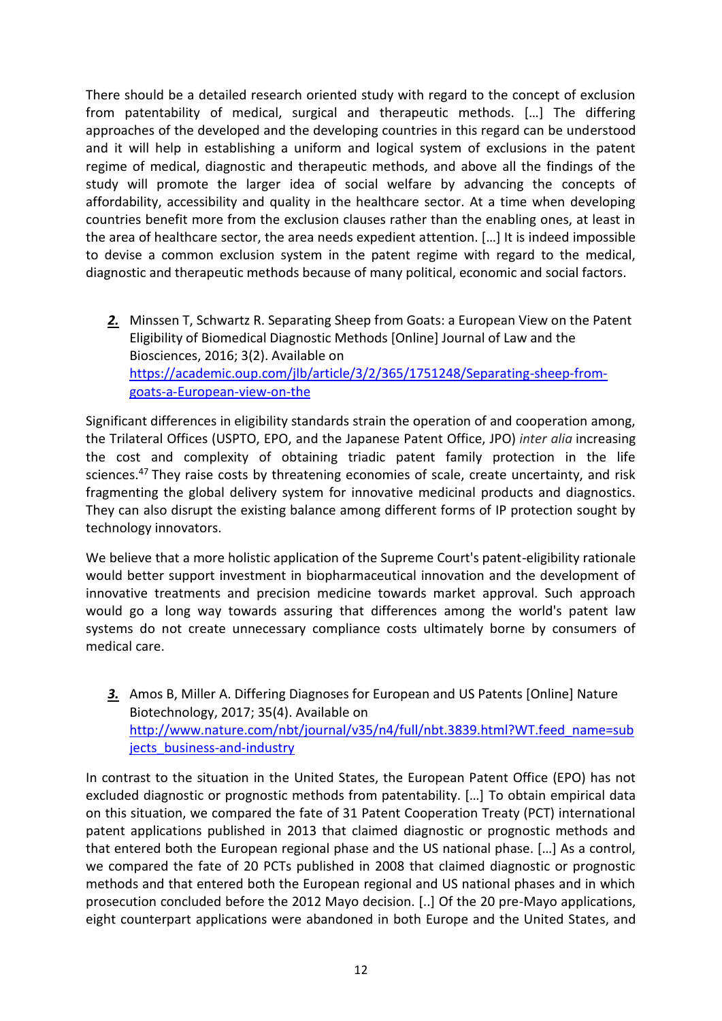There should be a detailed research oriented study with regard to the concept of exclusion from patentability of medical, surgical and therapeutic methods. […] The differing approaches of the developed and the developing countries in this regard can be understood and it will help in establishing a uniform and logical system of exclusions in the patent regime of medical, diagnostic and therapeutic methods, and above all the findings of the study will promote the larger idea of social welfare by advancing the concepts of affordability, accessibility and quality in the healthcare sector. At a time when developing countries benefit more from the exclusion clauses rather than the enabling ones, at least in the area of healthcare sector, the area needs expedient attention. […] It is indeed impossible to devise a common exclusion system in the patent regime with regard to the medical, diagnostic and therapeutic methods because of many political, economic and social factors.

*2.* Minssen T, Schwartz R. Separating Sheep from Goats: a European View on the Patent Eligibility of Biomedical Diagnostic Methods [Online] Journal of Law and the Biosciences, 2016; 3(2). Available on [https://academic.oup.com/jlb/article/3/2/365/1751248/Separating-sheep-from](https://academic.oup.com/jlb/article/3/2/365/1751248/Separating-sheep-from-goats-a-European-view-on-the)[goats-a-European-view-on-the](https://academic.oup.com/jlb/article/3/2/365/1751248/Separating-sheep-from-goats-a-European-view-on-the)

Significant differences in eligibility standards strain the operation of and cooperation among, the Trilateral Offices (USPTO, EPO, and the Japanese Patent Office, JPO) *inter alia* increasing the cost and complexity of obtaining triadic patent family protection in the life sciences.<sup>47</sup> They raise costs by threatening economies of scale, create uncertainty, and risk fragmenting the global delivery system for innovative medicinal products and diagnostics. They can also disrupt the existing balance among different forms of IP protection sought by technology innovators.

We believe that a more holistic application of the Supreme Court's patent-eligibility rationale would better support investment in biopharmaceutical innovation and the development of innovative treatments and precision medicine towards market approval. Such approach would go a long way towards assuring that differences among the world's patent law systems do not create unnecessary compliance costs ultimately borne by consumers of medical care.

*3.* Amos B, Miller A. Differing Diagnoses for European and US Patents [Online] Nature Biotechnology, 2017; 35(4). Available on [http://www.nature.com/nbt/journal/v35/n4/full/nbt.3839.html?WT.feed\\_name=sub](http://www.nature.com/nbt/journal/v35/n4/full/nbt.3839.html?WT.feed_name=subjects_business-and-industry) jects business-and-industry

In contrast to the situation in the United States, the European Patent Office (EPO) has not excluded diagnostic or prognostic methods from patentability. […] To obtain empirical data on this situation, we compared the fate of 31 Patent Cooperation Treaty (PCT) international patent applications published in 2013 that claimed diagnostic or prognostic methods and that entered both the European regional phase and the US national phase. […] As a control, we compared the fate of 20 PCTs published in 2008 that claimed diagnostic or prognostic methods and that entered both the European regional and US national phases and in which prosecution concluded before the 2012 Mayo decision. [..] Of the 20 pre-Mayo applications, eight counterpart applications were abandoned in both Europe and the United States, and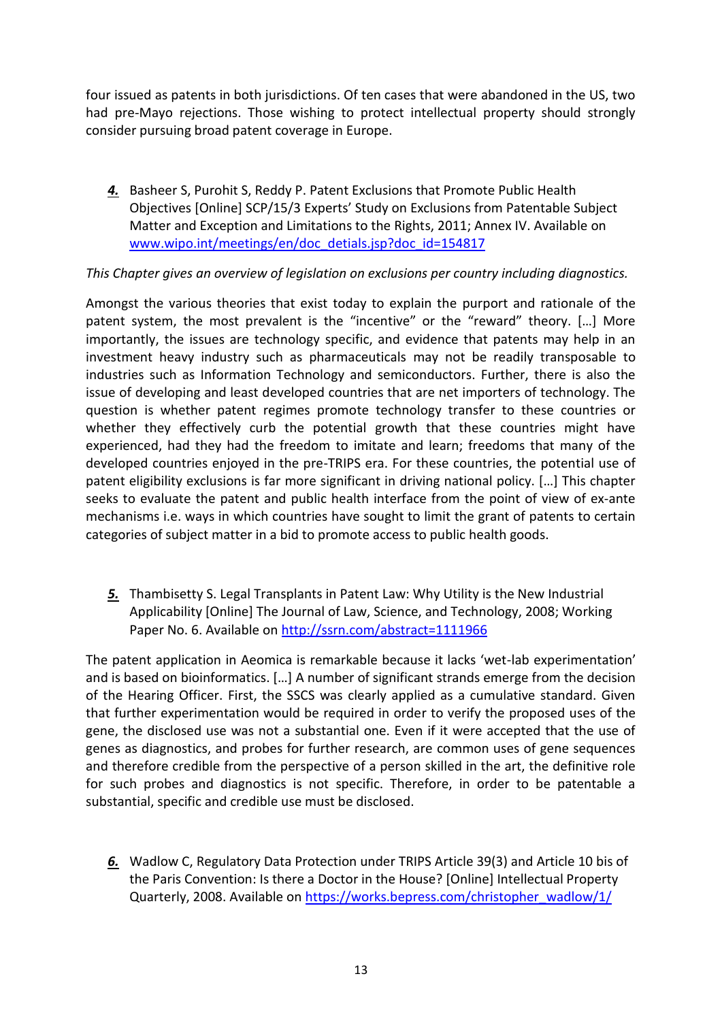four issued as patents in both jurisdictions. Of ten cases that were abandoned in the US, two had pre-Mayo rejections. Those wishing to protect intellectual property should strongly consider pursuing broad patent coverage in Europe.

*4.* Basheer S, Purohit S, Reddy P. Patent Exclusions that Promote Public Health Objectives [Online] SCP/15/3 Experts' Study on Exclusions from Patentable Subject Matter and Exception and Limitations to the Rights, 2011; Annex IV. Available on [www.wipo.int/meetings/en/doc\\_detials.jsp?doc\\_id=154817](http://www.wipo.int/meetings/en/doc_detials.jsp?doc_id=154817)

### *This Chapter gives an overview of legislation on exclusions per country including diagnostics.*

Amongst the various theories that exist today to explain the purport and rationale of the patent system, the most prevalent is the "incentive" or the "reward" theory. […] More importantly, the issues are technology specific, and evidence that patents may help in an investment heavy industry such as pharmaceuticals may not be readily transposable to industries such as Information Technology and semiconductors. Further, there is also the issue of developing and least developed countries that are net importers of technology. The question is whether patent regimes promote technology transfer to these countries or whether they effectively curb the potential growth that these countries might have experienced, had they had the freedom to imitate and learn; freedoms that many of the developed countries enjoyed in the pre-TRIPS era. For these countries, the potential use of patent eligibility exclusions is far more significant in driving national policy. […] This chapter seeks to evaluate the patent and public health interface from the point of view of ex-ante mechanisms i.e. ways in which countries have sought to limit the grant of patents to certain categories of subject matter in a bid to promote access to public health goods.

*5.* Thambisetty S. Legal Transplants in Patent Law: Why Utility is the New Industrial Applicability [Online] The Journal of Law, Science, and Technology, 2008; Working Paper No. 6. Available on <http://ssrn.com/abstract=1111966>

The patent application in Aeomica is remarkable because it lacks 'wet-lab experimentation' and is based on bioinformatics. […] A number of significant strands emerge from the decision of the Hearing Officer. First, the SSCS was clearly applied as a cumulative standard. Given that further experimentation would be required in order to verify the proposed uses of the gene, the disclosed use was not a substantial one. Even if it were accepted that the use of genes as diagnostics, and probes for further research, are common uses of gene sequences and therefore credible from the perspective of a person skilled in the art, the definitive role for such probes and diagnostics is not specific. Therefore, in order to be patentable a substantial, specific and credible use must be disclosed.

*6.* Wadlow C, Regulatory Data Protection under TRIPS Article 39(3) and Article 10 bis of the Paris Convention: Is there a Doctor in the House? [Online] Intellectual Property Quarterly, 2008. Available on [https://works.bepress.com/christopher\\_wadlow/1/](https://works.bepress.com/christopher_wadlow/1/)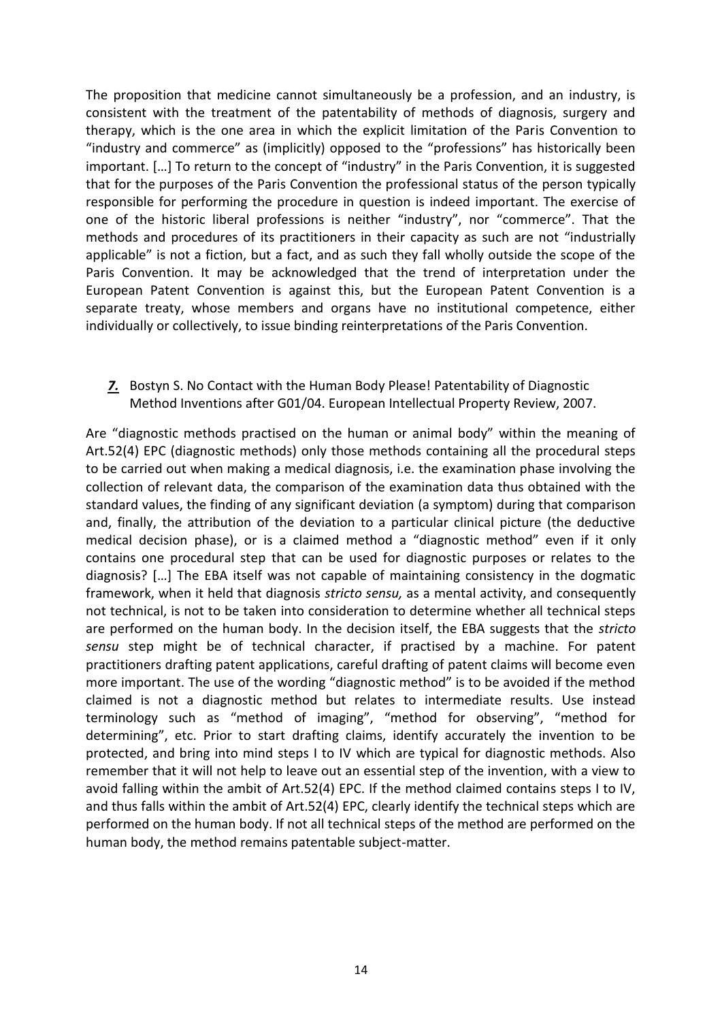The proposition that medicine cannot simultaneously be a profession, and an industry, is consistent with the treatment of the patentability of methods of diagnosis, surgery and therapy, which is the one area in which the explicit limitation of the Paris Convention to "industry and commerce" as (implicitly) opposed to the "professions" has historically been important. […] To return to the concept of "industry" in the Paris Convention, it is suggested that for the purposes of the Paris Convention the professional status of the person typically responsible for performing the procedure in question is indeed important. The exercise of one of the historic liberal professions is neither "industry", nor "commerce". That the methods and procedures of its practitioners in their capacity as such are not "industrially applicable" is not a fiction, but a fact, and as such they fall wholly outside the scope of the Paris Convention. It may be acknowledged that the trend of interpretation under the European Patent Convention is against this, but the European Patent Convention is a separate treaty, whose members and organs have no institutional competence, either individually or collectively, to issue binding reinterpretations of the Paris Convention.

*7.* Bostyn S. No Contact with the Human Body Please! Patentability of Diagnostic Method Inventions after G01/04. European Intellectual Property Review, 2007.

Are "diagnostic methods practised on the human or animal body" within the meaning of Art.52(4) EPC (diagnostic methods) only those methods containing all the procedural steps to be carried out when making a medical diagnosis, i.e. the examination phase involving the collection of relevant data, the comparison of the examination data thus obtained with the standard values, the finding of any significant deviation (a symptom) during that comparison and, finally, the attribution of the deviation to a particular clinical picture (the deductive medical decision phase), or is a claimed method a "diagnostic method" even if it only contains one procedural step that can be used for diagnostic purposes or relates to the diagnosis? […] The EBA itself was not capable of maintaining consistency in the dogmatic framework, when it held that diagnosis *stricto sensu,* as a mental activity, and consequently not technical, is not to be taken into consideration to determine whether all technical steps are performed on the human body. In the decision itself, the EBA suggests that the *stricto sensu* step might be of technical character, if practised by a machine. For patent practitioners drafting patent applications, careful drafting of patent claims will become even more important. The use of the wording "diagnostic method" is to be avoided if the method claimed is not a diagnostic method but relates to intermediate results. Use instead terminology such as "method of imaging", "method for observing", "method for determining", etc. Prior to start drafting claims, identify accurately the invention to be protected, and bring into mind steps I to IV which are typical for diagnostic methods. Also remember that it will not help to leave out an essential step of the invention, with a view to avoid falling within the ambit of Art.52(4) EPC. If the method claimed contains steps I to IV, and thus falls within the ambit of Art.52(4) EPC, clearly identify the technical steps which are performed on the human body. If not all technical steps of the method are performed on the human body, the method remains patentable subject-matter.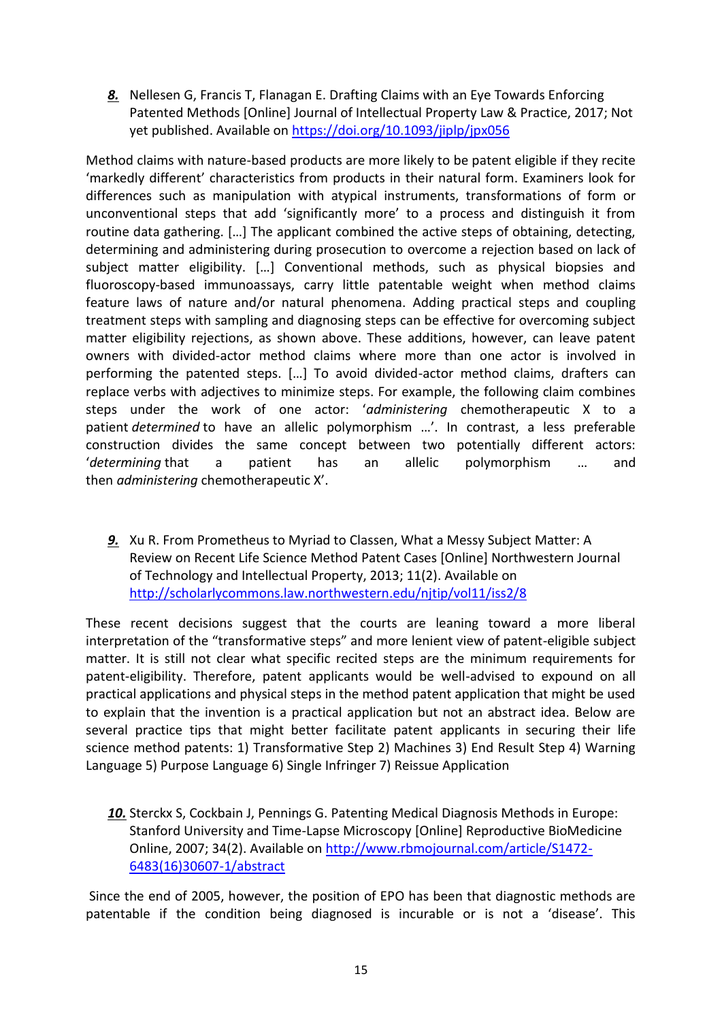*8.* Nellesen G, Francis T, Flanagan E. Drafting Claims with an Eye Towards Enforcing Patented Methods [Online] Journal of Intellectual Property Law & Practice, 2017; Not yet published. Available on <https://doi.org/10.1093/jiplp/jpx056>

Method claims with nature-based products are more likely to be patent eligible if they recite 'markedly different' characteristics from products in their natural form. Examiners look for differences such as manipulation with atypical instruments, transformations of form or unconventional steps that add 'significantly more' to a process and distinguish it from routine data gathering. […] The applicant combined the active steps of obtaining, detecting, determining and administering during prosecution to overcome a rejection based on lack of subject matter eligibility. […] Conventional methods, such as physical biopsies and fluoroscopy-based immunoassays, carry little patentable weight when method claims feature laws of nature and/or natural phenomena. Adding practical steps and coupling treatment steps with sampling and diagnosing steps can be effective for overcoming subject matter eligibility rejections, as shown above. These additions, however, can leave patent owners with divided-actor method claims where more than one actor is involved in performing the patented steps. […] To avoid divided-actor method claims, drafters can replace verbs with adjectives to minimize steps. For example, the following claim combines steps under the work of one actor: '*administering* chemotherapeutic X to a patient *determined* to have an allelic polymorphism …'. In contrast, a less preferable construction divides the same concept between two potentially different actors: '*determining* that a patient has an allelic polymorphism … and then *administering* chemotherapeutic X'.

*9.* Xu R. From Prometheus to Myriad to Classen, What a Messy Subject Matter: A Review on Recent Life Science Method Patent Cases [Online] Northwestern Journal of Technology and Intellectual Property, 2013; 11(2). Available on <http://scholarlycommons.law.northwestern.edu/njtip/vol11/iss2/8>

These recent decisions suggest that the courts are leaning toward a more liberal interpretation of the "transformative steps" and more lenient view of patent-eligible subject matter. It is still not clear what specific recited steps are the minimum requirements for patent-eligibility. Therefore, patent applicants would be well-advised to expound on all practical applications and physical steps in the method patent application that might be used to explain that the invention is a practical application but not an abstract idea. Below are several practice tips that might better facilitate patent applicants in securing their life science method patents: 1) Transformative Step 2) Machines 3) End Result Step 4) Warning Language 5) Purpose Language 6) Single Infringer 7) Reissue Application

*10.* Sterckx S, Cockbain J, Pennings G. Patenting Medical Diagnosis Methods in Europe: Stanford University and Time-Lapse Microscopy [Online] Reproductive BioMedicine Online, 2007; 34(2). Available on [http://www.rbmojournal.com/article/S1472-](http://www.rbmojournal.com/article/S1472-6483(16)30607-1/abstract) [6483\(16\)30607-1/abstract](http://www.rbmojournal.com/article/S1472-6483(16)30607-1/abstract)

Since the end of 2005, however, the position of EPO has been that diagnostic methods are patentable if the condition being diagnosed is incurable or is not a 'disease'. This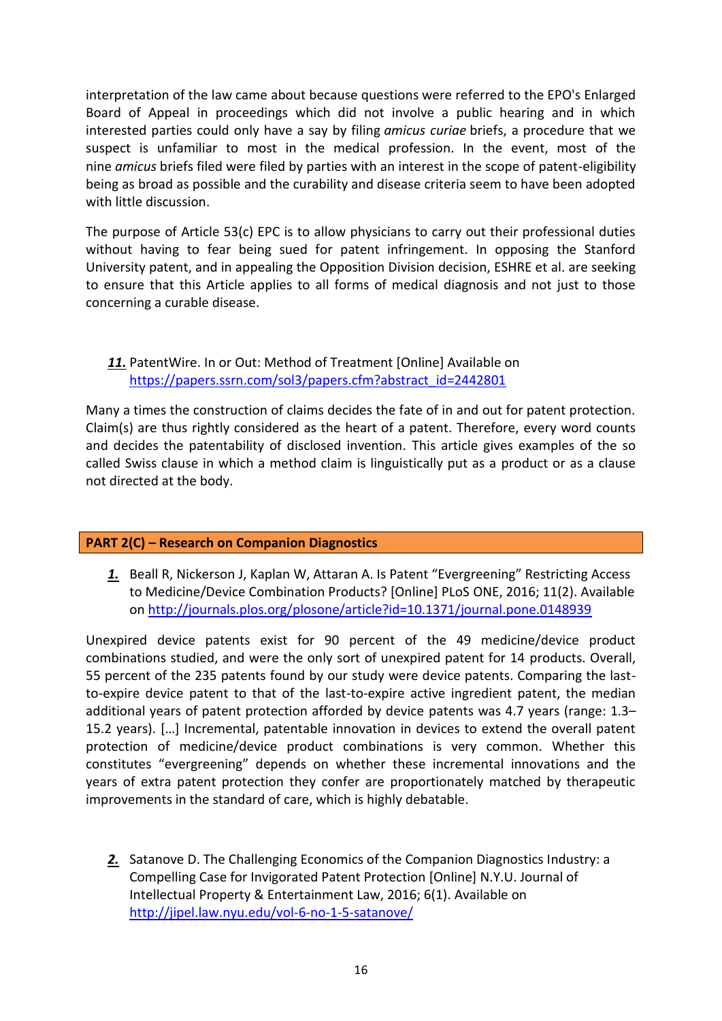interpretation of the law came about because questions were referred to the EPO's Enlarged Board of Appeal in proceedings which did not involve a public hearing and in which interested parties could only have a say by filing *amicus curiae* briefs, a procedure that we suspect is unfamiliar to most in the medical profession. In the event, most of the nine *amicus* briefs filed were filed by parties with an interest in the scope of patent-eligibility being as broad as possible and the curability and disease criteria seem to have been adopted with little discussion.

The purpose of Article 53(c) EPC is to allow physicians to carry out their professional duties without having to fear being sued for patent infringement. In opposing the Stanford University patent, and in appealing the Opposition Division decision, ESHRE et al. are seeking to ensure that this Article applies to all forms of medical diagnosis and not just to those concerning a curable disease.

### *11.* PatentWire. In or Out: Method of Treatment [Online] Available on [https://papers.ssrn.com/sol3/papers.cfm?abstract\\_id=2442801](https://papers.ssrn.com/sol3/papers.cfm?abstract_id=2442801)

Many a times the construction of claims decides the fate of in and out for patent protection. Claim(s) are thus rightly considered as the heart of a patent. Therefore, every word counts and decides the patentability of disclosed invention. This article gives examples of the so called Swiss clause in which a method claim is linguistically put as a product or as a clause not directed at the body.

### **PART 2(C) – Research on Companion Diagnostics**

<span id="page-15-1"></span>*1.* Beall R, Nickerson J, Kaplan W, Attaran A. Is Patent "Evergreening" Restricting Access to Medicine/Device Combination Products? [Online] PLoS ONE, 2016; 11(2). Available on <http://journals.plos.org/plosone/article?id=10.1371/journal.pone.0148939>

Unexpired device patents exist for 90 percent of the 49 medicine/device product combinations studied, and were the only sort of unexpired patent for 14 products. Overall, 55 percent of the 235 patents found by our study were device patents. Comparing the lastto-expire device patent to that of the last-to-expire active ingredient patent, the median additional years of patent protection afforded by device patents was 4.7 years (range: 1.3– 15.2 years). […] Incremental, patentable innovation in devices to extend the overall patent protection of medicine/device product combinations is very common. Whether this constitutes "evergreening" depends on whether these incremental innovations and the years of extra patent protection they confer are proportionately matched by therapeutic improvements in the standard of care, which is highly debatable.

<span id="page-15-0"></span>*2.* Satanove D. The Challenging Economics of the Companion Diagnostics Industry: a Compelling Case for Invigorated Patent Protection [Online] N.Y.U. Journal of Intellectual Property & Entertainment Law, 2016; 6(1). Available on <http://jipel.law.nyu.edu/vol-6-no-1-5-satanove/>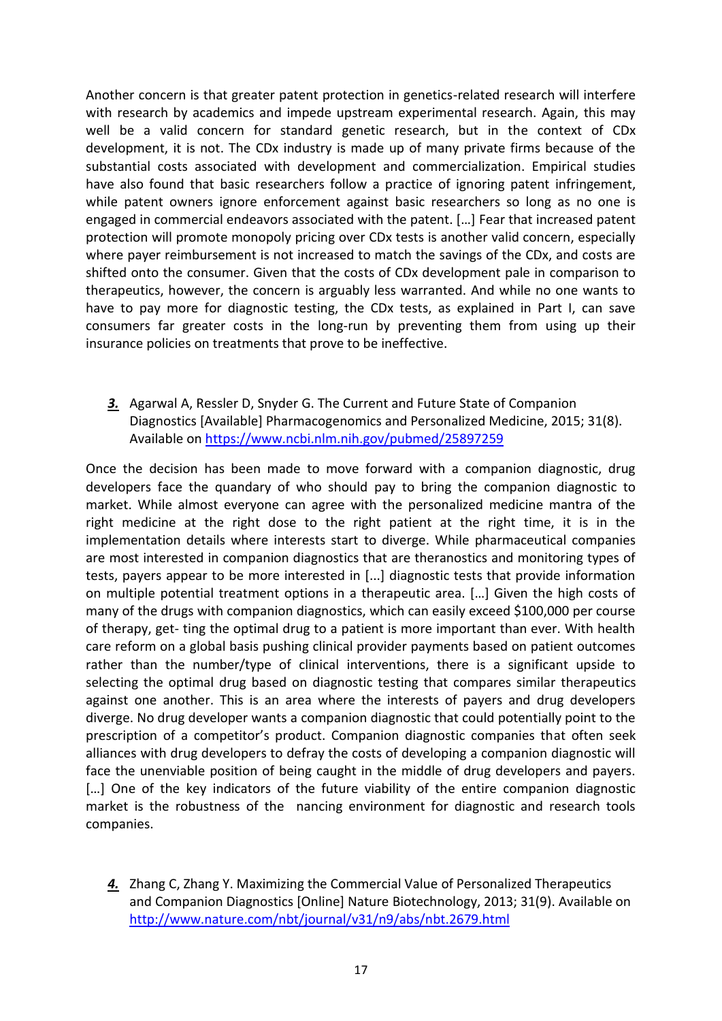Another concern is that greater patent protection in genetics-related research will interfere with research by academics and impede upstream experimental research. Again, this may well be a valid concern for standard genetic research, but in the context of CDx development, it is not. The CDx industry is made up of many private firms because of the substantial costs associated with development and commercialization. Empirical studies have also found that basic researchers follow a practice of ignoring patent infringement, while patent owners ignore enforcement against basic researchers so long as no one is engaged in commercial endeavors associated with the patent. […] Fear that increased patent protection will promote monopoly pricing over CDx tests is another valid concern, especially where payer reimbursement is not increased to match the savings of the CDx, and costs are shifted onto the consumer. Given that the costs of CDx development pale in comparison to therapeutics, however, the concern is arguably less warranted. And while no one wants to have to pay more for diagnostic testing, the CDx tests, as explained in Part I, can save consumers far greater costs in the long-run by preventing them from using up their insurance policies on treatments that prove to be ineffective.

<span id="page-16-0"></span>*3.* Agarwal A, Ressler D, Snyder G. The Current and Future State of Companion Diagnostics [Available] Pharmacogenomics and Personalized Medicine, 2015; 31(8). Available on <https://www.ncbi.nlm.nih.gov/pubmed/25897259>

Once the decision has been made to move forward with a companion diagnostic, drug developers face the quandary of who should pay to bring the companion diagnostic to market. While almost everyone can agree with the personalized medicine mantra of the right medicine at the right dose to the right patient at the right time, it is in the implementation details where interests start to diverge. While pharmaceutical companies are most interested in companion diagnostics that are theranostics and monitoring types of tests, payers appear to be more interested in [...] diagnostic tests that provide information on multiple potential treatment options in a therapeutic area. […] Given the high costs of many of the drugs with companion diagnostics, which can easily exceed \$100,000 per course of therapy, get- ting the optimal drug to a patient is more important than ever. With health care reform on a global basis pushing clinical provider payments based on patient outcomes rather than the number/type of clinical interventions, there is a significant upside to selecting the optimal drug based on diagnostic testing that compares similar therapeutics against one another. This is an area where the interests of payers and drug developers diverge. No drug developer wants a companion diagnostic that could potentially point to the prescription of a competitor's product. Companion diagnostic companies that often seek alliances with drug developers to defray the costs of developing a companion diagnostic will face the unenviable position of being caught in the middle of drug developers and payers. [...] One of the key indicators of the future viability of the entire companion diagnostic market is the robustness of the nancing environment for diagnostic and research tools companies.

*4.* Zhang C, Zhang Y. Maximizing the Commercial Value of Personalized Therapeutics and Companion Diagnostics [Online] Nature Biotechnology, 2013; 31(9). Available on <http://www.nature.com/nbt/journal/v31/n9/abs/nbt.2679.html>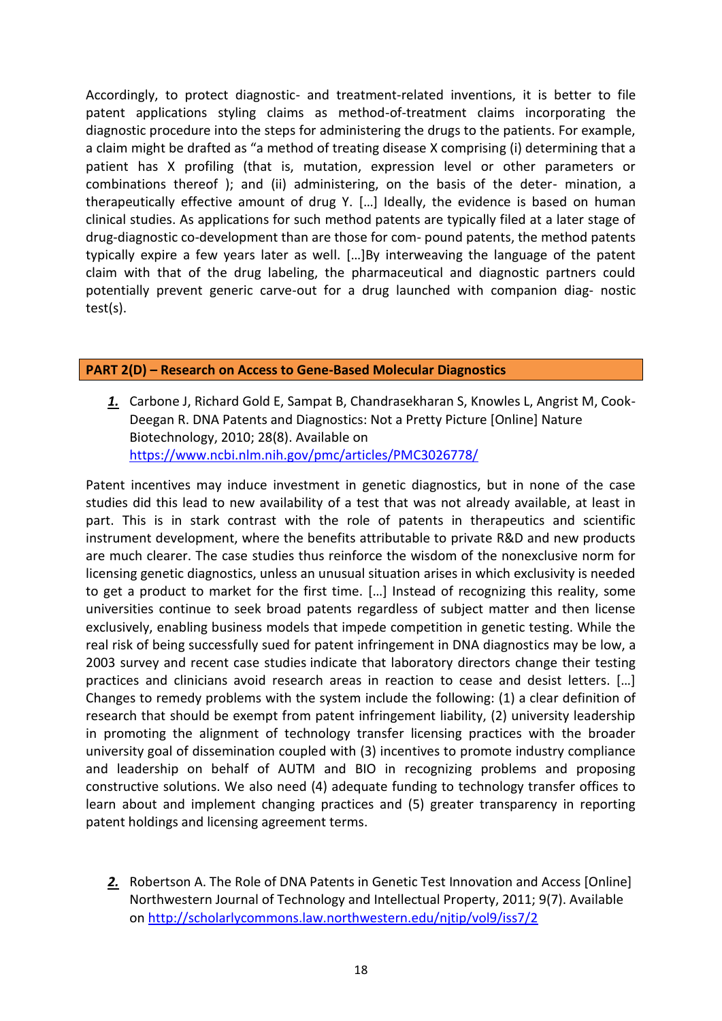Accordingly, to protect diagnostic- and treatment-related inventions, it is better to file patent applications styling claims as method-of-treatment claims incorporating the diagnostic procedure into the steps for administering the drugs to the patients. For example, a claim might be drafted as "a method of treating disease X comprising (i) determining that a patient has X profiling (that is, mutation, expression level or other parameters or combinations thereof ); and (ii) administering, on the basis of the deter- mination, a therapeutically effective amount of drug Y. […] Ideally, the evidence is based on human clinical studies. As applications for such method patents are typically filed at a later stage of drug-diagnostic co-development than are those for com- pound patents, the method patents typically expire a few years later as well. […]By interweaving the language of the patent claim with that of the drug labeling, the pharmaceutical and diagnostic partners could potentially prevent generic carve-out for a drug launched with companion diag- nostic test(s).

### **PART 2(D) – Research on Access to Gene-Based Molecular Diagnostics**

*1.* Carbone J, Richard Gold E, Sampat B, Chandrasekharan S, Knowles L, Angrist M, Cook-Deegan R. DNA Patents and Diagnostics: Not a Pretty Picture [Online] Nature Biotechnology, 2010; 28(8). Available on <https://www.ncbi.nlm.nih.gov/pmc/articles/PMC3026778/>

Patent incentives may induce investment in genetic diagnostics, but in none of the case studies did this lead to new availability of a test that was not already available, at least in part. This is in stark contrast with the role of patents in therapeutics and scientific instrument development, where the benefits attributable to private R&D and new products are much clearer. The case studies thus reinforce the wisdom of the nonexclusive norm for licensing genetic diagnostics, unless an unusual situation arises in which exclusivity is needed to get a product to market for the first time. […] Instead of recognizing this reality, some universities continue to seek broad patents regardless of subject matter and then license exclusively, enabling business models that impede competition in genetic testing. While the real risk of being successfully sued for patent infringement in DNA diagnostics may be low, a 2003 survey and recent case studies indicate that laboratory directors change their testing practices and clinicians avoid research areas in reaction to cease and desist letters. […] Changes to remedy problems with the system include the following: (1) a clear definition of research that should be exempt from patent infringement liability, (2) university leadership in promoting the alignment of technology transfer licensing practices with the broader university goal of dissemination coupled with (3) incentives to promote industry compliance and leadership on behalf of AUTM and BIO in recognizing problems and proposing constructive solutions. We also need (4) adequate funding to technology transfer offices to learn about and implement changing practices and (5) greater transparency in reporting patent holdings and licensing agreement terms.

*2.* Robertson A. The Role of DNA Patents in Genetic Test Innovation and Access [Online] Northwestern Journal of Technology and Intellectual Property, 2011; 9(7). Available on <http://scholarlycommons.law.northwestern.edu/njtip/vol9/iss7/2>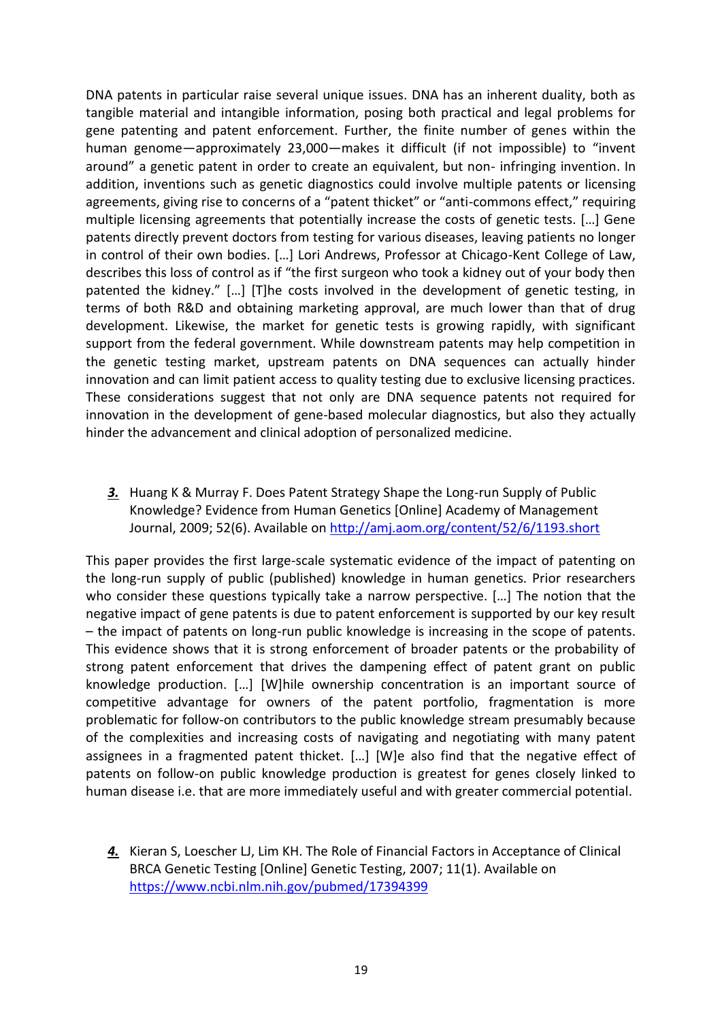DNA patents in particular raise several unique issues. DNA has an inherent duality, both as tangible material and intangible information, posing both practical and legal problems for gene patenting and patent enforcement. Further, the finite number of genes within the human genome—approximately 23,000—makes it difficult (if not impossible) to "invent around" a genetic patent in order to create an equivalent, but non- infringing invention. In addition, inventions such as genetic diagnostics could involve multiple patents or licensing agreements, giving rise to concerns of a "patent thicket" or "anti-commons effect," requiring multiple licensing agreements that potentially increase the costs of genetic tests. […] Gene patents directly prevent doctors from testing for various diseases, leaving patients no longer in control of their own bodies. […] Lori Andrews, Professor at Chicago-Kent College of Law, describes this loss of control as if "the first surgeon who took a kidney out of your body then patented the kidney." […] [T]he costs involved in the development of genetic testing, in terms of both R&D and obtaining marketing approval, are much lower than that of drug development. Likewise, the market for genetic tests is growing rapidly, with significant support from the federal government. While downstream patents may help competition in the genetic testing market, upstream patents on DNA sequences can actually hinder innovation and can limit patient access to quality testing due to exclusive licensing practices. These considerations suggest that not only are DNA sequence patents not required for innovation in the development of gene-based molecular diagnostics, but also they actually hinder the advancement and clinical adoption of personalized medicine.

*3.* Huang K & Murray F. Does Patent Strategy Shape the Long-run Supply of Public Knowledge? Evidence from Human Genetics [Online] Academy of Management Journal, 2009; 52(6). Available on<http://amj.aom.org/content/52/6/1193.short>

This paper provides the first large-scale systematic evidence of the impact of patenting on the long-run supply of public (published) knowledge in human genetics. Prior researchers who consider these questions typically take a narrow perspective. […] The notion that the negative impact of gene patents is due to patent enforcement is supported by our key result – the impact of patents on long-run public knowledge is increasing in the scope of patents. This evidence shows that it is strong enforcement of broader patents or the probability of strong patent enforcement that drives the dampening effect of patent grant on public knowledge production. […] [W]hile ownership concentration is an important source of competitive advantage for owners of the patent portfolio, fragmentation is more problematic for follow-on contributors to the public knowledge stream presumably because of the complexities and increasing costs of navigating and negotiating with many patent assignees in a fragmented patent thicket. […] [W]e also find that the negative effect of patents on follow-on public knowledge production is greatest for genes closely linked to human disease i.e. that are more immediately useful and with greater commercial potential.

*<sup>4.</sup>* Kieran S, Loescher LJ, Lim KH. The Role of Financial Factors in Acceptance of Clinical BRCA Genetic Testing [Online] Genetic Testing, 2007; 11(1). Available on <https://www.ncbi.nlm.nih.gov/pubmed/17394399>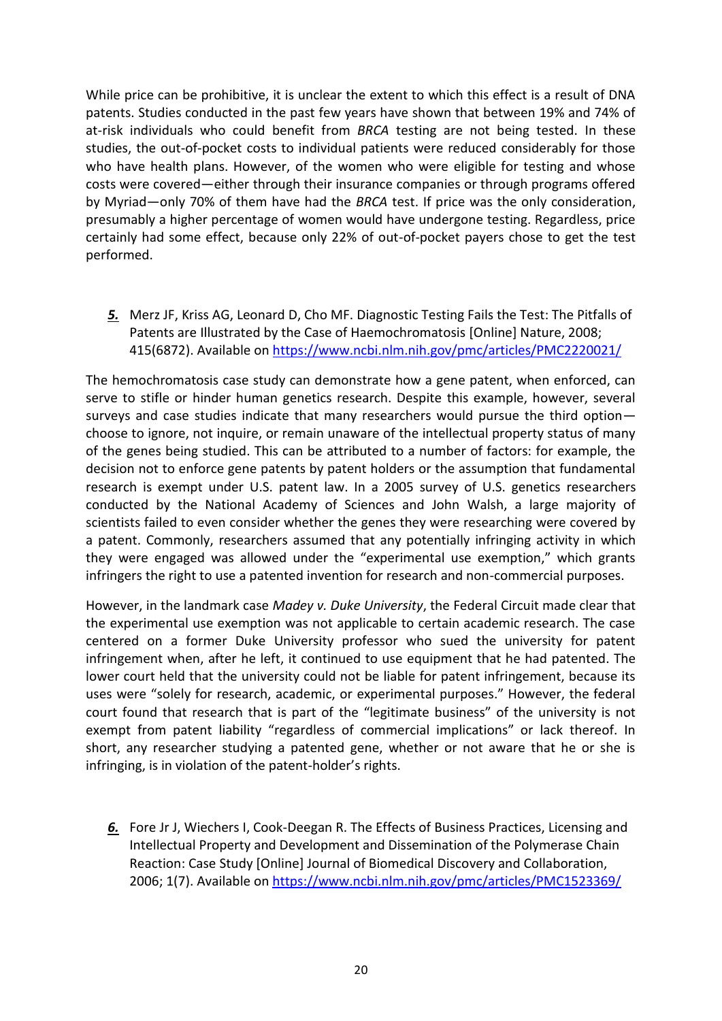While price can be prohibitive, it is unclear the extent to which this effect is a result of DNA patents. Studies conducted in the past few years have shown that between 19% and 74% of at-risk individuals who could benefit from *BRCA* testing are not being tested. In these studies, the out-of-pocket costs to individual patients were reduced considerably for those who have health plans. However, of the women who were eligible for testing and whose costs were covered—either through their insurance companies or through programs offered by Myriad—only 70% of them have had the *BRCA* test. If price was the only consideration, presumably a higher percentage of women would have undergone testing. Regardless, price certainly had some effect, because only 22% of out-of-pocket payers chose to get the test performed.

*5.* Merz JF, Kriss AG, Leonard D, Cho MF. Diagnostic Testing Fails the Test: The Pitfalls of Patents are Illustrated by the Case of Haemochromatosis [Online] Nature, 2008; 415(6872). Available on<https://www.ncbi.nlm.nih.gov/pmc/articles/PMC2220021/>

The hemochromatosis case study can demonstrate how a gene patent, when enforced, can serve to stifle or hinder human genetics research. Despite this example, however, several surveys and case studies indicate that many researchers would pursue the third option choose to ignore, not inquire, or remain unaware of the intellectual property status of many of the genes being studied. This can be attributed to a number of factors: for example, the decision not to enforce gene patents by patent holders or the assumption that fundamental research is exempt under U.S. patent law. In a 2005 survey of U.S. genetics researchers conducted by the National Academy of Sciences and John Walsh, a large majority of scientists failed to even consider whether the genes they were researching were covered by a patent. Commonly, researchers assumed that any potentially infringing activity in which they were engaged was allowed under the "experimental use exemption," which grants infringers the right to use a patented invention for research and non-commercial purposes.

However, in the landmark case *Madey v. Duke University*, the Federal Circuit made clear that the experimental use exemption was not applicable to certain academic research. The case centered on a former Duke University professor who sued the university for patent infringement when, after he left, it continued to use equipment that he had patented. The lower court held that the university could not be liable for patent infringement, because its uses were "solely for research, academic, or experimental purposes." However, the federal court found that research that is part of the "legitimate business" of the university is not exempt from patent liability "regardless of commercial implications" or lack thereof. In short, any researcher studying a patented gene, whether or not aware that he or she is infringing, is in violation of the patent-holder's rights.

*6.* Fore Jr J, Wiechers I, Cook-Deegan R. The Effects of Business Practices, Licensing and Intellectual Property and Development and Dissemination of the Polymerase Chain Reaction: Case Study [Online] Journal of Biomedical Discovery and Collaboration, 2006; 1(7). Available on <https://www.ncbi.nlm.nih.gov/pmc/articles/PMC1523369/>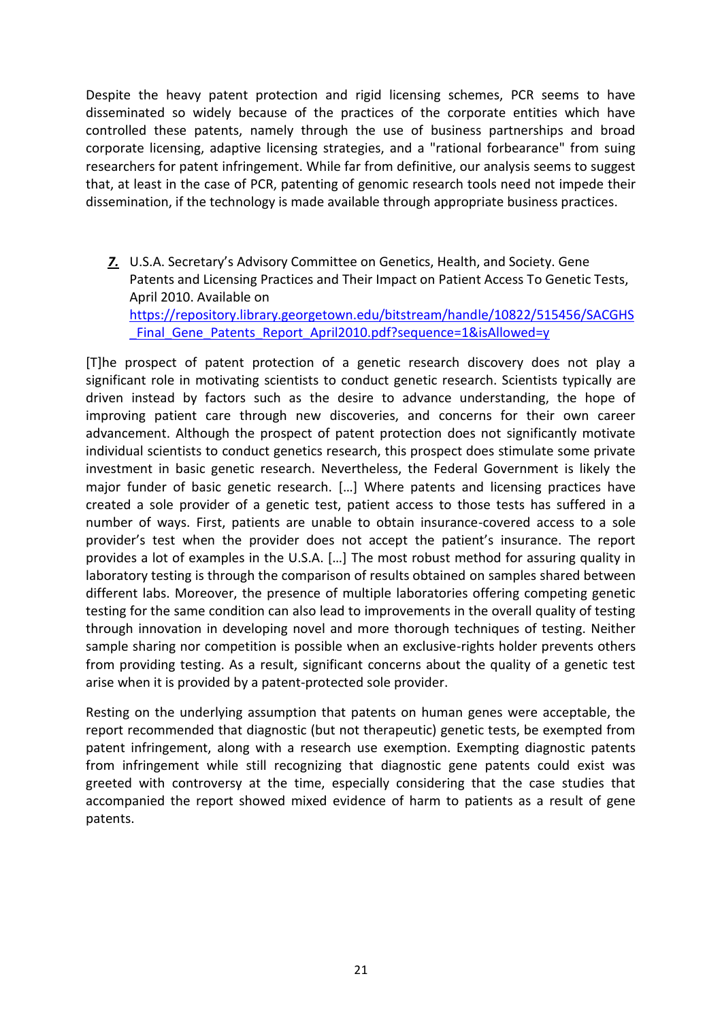Despite the heavy patent protection and rigid licensing schemes, PCR seems to have disseminated so widely because of the practices of the corporate entities which have controlled these patents, namely through the use of business partnerships and broad corporate licensing, adaptive licensing strategies, and a "rational forbearance" from suing researchers for patent infringement. While far from definitive, our analysis seems to suggest that, at least in the case of PCR, patenting of genomic research tools need not impede their dissemination, if the technology is made available through appropriate business practices.

*7.* U.S.A. Secretary's Advisory Committee on Genetics, Health, and Society. Gene Patents and Licensing Practices and Their Impact on Patient Access To Genetic Tests, April 2010. Available on [https://repository.library.georgetown.edu/bitstream/handle/10822/515456/SACGHS](https://repository.library.georgetown.edu/bitstream/handle/10822/515456/SACGHS_Final_Gene_Patents_Report_April2010.pdf?sequence=1&isAllowed=y) Final Gene Patents Report April2010.pdf?sequence=1&isAllowed=y

[T]he prospect of patent protection of a genetic research discovery does not play a significant role in motivating scientists to conduct genetic research. Scientists typically are driven instead by factors such as the desire to advance understanding, the hope of improving patient care through new discoveries, and concerns for their own career advancement. Although the prospect of patent protection does not significantly motivate individual scientists to conduct genetics research, this prospect does stimulate some private investment in basic genetic research. Nevertheless, the Federal Government is likely the major funder of basic genetic research. […] Where patents and licensing practices have created a sole provider of a genetic test, patient access to those tests has suffered in a number of ways. First, patients are unable to obtain insurance-covered access to a sole provider's test when the provider does not accept the patient's insurance. The report provides a lot of examples in the U.S.A. […] The most robust method for assuring quality in laboratory testing is through the comparison of results obtained on samples shared between different labs. Moreover, the presence of multiple laboratories offering competing genetic testing for the same condition can also lead to improvements in the overall quality of testing through innovation in developing novel and more thorough techniques of testing. Neither sample sharing nor competition is possible when an exclusive-rights holder prevents others from providing testing. As a result, significant concerns about the quality of a genetic test arise when it is provided by a patent-protected sole provider.

Resting on the underlying assumption that patents on human genes were acceptable, the report recommended that diagnostic (but not therapeutic) genetic tests, be exempted from patent infringement, along with a research use exemption. Exempting diagnostic patents from infringement while still recognizing that diagnostic gene patents could exist was greeted with controversy at the time, especially considering that the case studies that accompanied the report showed mixed evidence of harm to patients as a result of gene patents.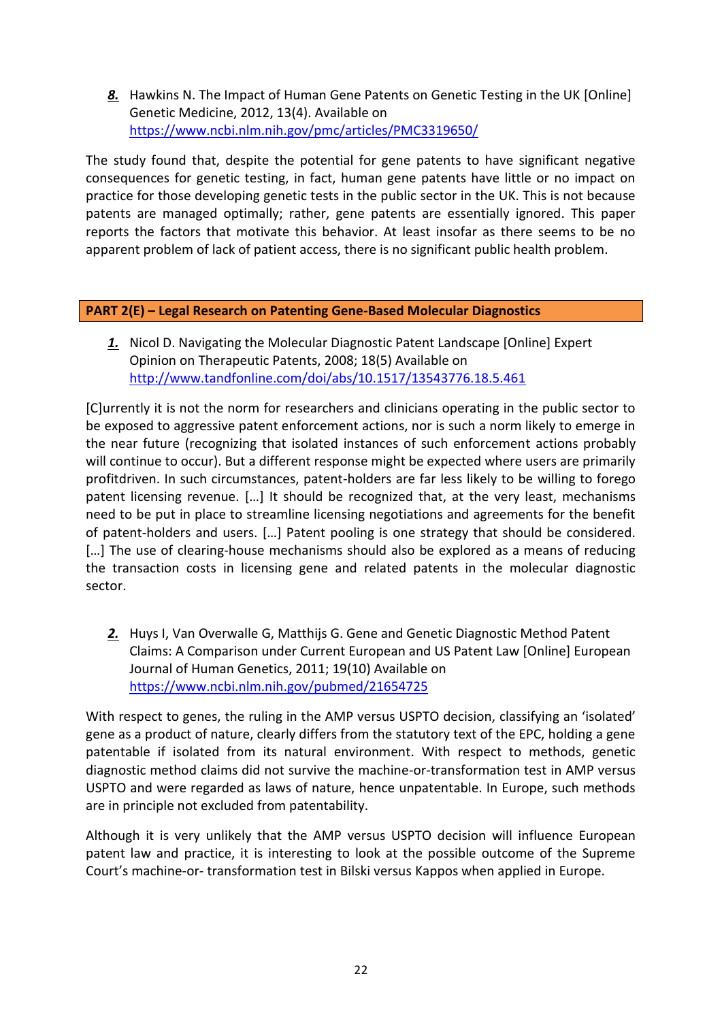<span id="page-21-0"></span>*8.* Hawkins N. The Impact of Human Gene Patents on Genetic Testing in the UK [Online] Genetic Medicine, 2012, 13(4). Available on <https://www.ncbi.nlm.nih.gov/pmc/articles/PMC3319650/>

The study found that, despite the potential for gene patents to have significant negative consequences for genetic testing, in fact, human gene patents have little or no impact on practice for those developing genetic tests in the public sector in the UK. This is not because patents are managed optimally; rather, gene patents are essentially ignored. This paper reports the factors that motivate this behavior. At least insofar as there seems to be no apparent problem of lack of patient access, there is no significant public health problem.

### **PART 2(E) – Legal Research on Patenting Gene-Based Molecular Diagnostics**

*1.* Nicol D. Navigating the Molecular Diagnostic Patent Landscape [Online] Expert Opinion on Therapeutic Patents, 2008; 18(5) Available on <http://www.tandfonline.com/doi/abs/10.1517/13543776.18.5.461>

[C]urrently it is not the norm for researchers and clinicians operating in the public sector to be exposed to aggressive patent enforcement actions, nor is such a norm likely to emerge in the near future (recognizing that isolated instances of such enforcement actions probably will continue to occur). But a different response might be expected where users are primarily profitdriven. In such circumstances, patent-holders are far less likely to be willing to forego patent licensing revenue. […] It should be recognized that, at the very least, mechanisms need to be put in place to streamline licensing negotiations and agreements for the benefit of patent-holders and users. […] Patent pooling is one strategy that should be considered. [...] The use of clearing-house mechanisms should also be explored as a means of reducing the transaction costs in licensing gene and related patents in the molecular diagnostic sector.

*2.* Huys I, Van Overwalle G, Matthijs G. Gene and Genetic Diagnostic Method Patent Claims: A Comparison under Current European and US Patent Law [Online] European Journal of Human Genetics, 2011; 19(10) Available on <https://www.ncbi.nlm.nih.gov/pubmed/21654725>

With respect to genes, the ruling in the AMP versus USPTO decision, classifying an 'isolated' gene as a product of nature, clearly differs from the statutory text of the EPC, holding a gene patentable if isolated from its natural environment. With respect to methods, genetic diagnostic method claims did not survive the machine-or-transformation test in AMP versus USPTO and were regarded as laws of nature, hence unpatentable. In Europe, such methods are in principle not excluded from patentability.

Although it is very unlikely that the AMP versus USPTO decision will influence European patent law and practice, it is interesting to look at the possible outcome of the Supreme Court's machine-or- transformation test in Bilski versus Kappos when applied in Europe.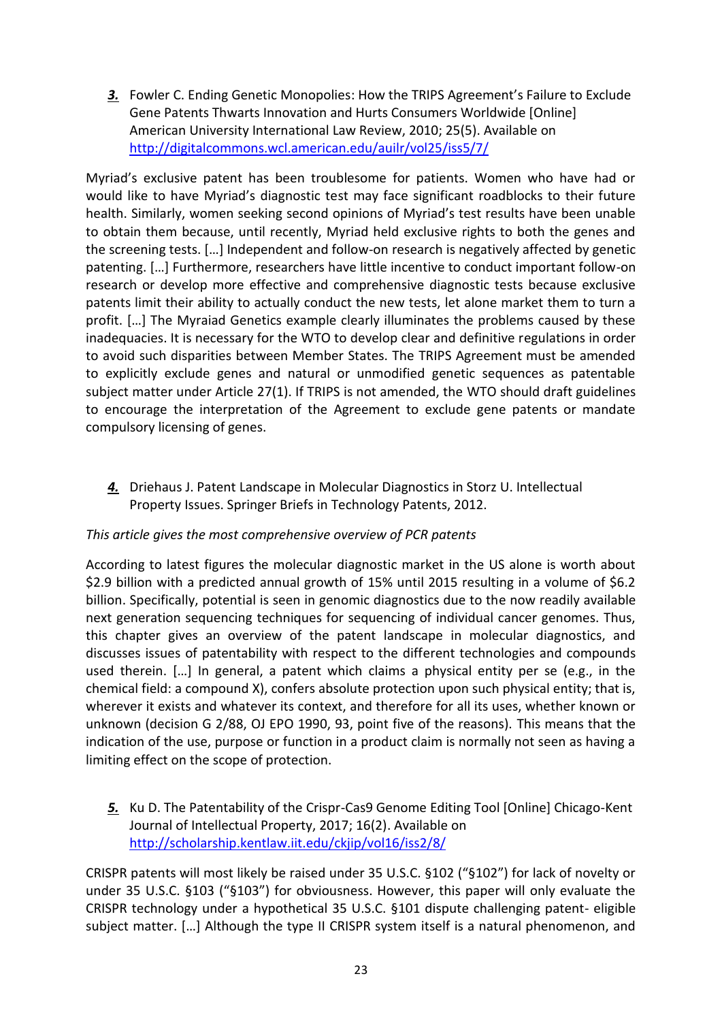*3.* Fowler C. Ending Genetic Monopolies: How the TRIPS Agreement's Failure to Exclude Gene Patents Thwarts Innovation and Hurts Consumers Worldwide [Online] American University International Law Review, 2010; 25(5). Available on <http://digitalcommons.wcl.american.edu/auilr/vol25/iss5/7/>

Myriad's exclusive patent has been troublesome for patients. Women who have had or would like to have Myriad's diagnostic test may face significant roadblocks to their future health. Similarly, women seeking second opinions of Myriad's test results have been unable to obtain them because, until recently, Myriad held exclusive rights to both the genes and the screening tests. […] Independent and follow-on research is negatively affected by genetic patenting. […] Furthermore, researchers have little incentive to conduct important follow-on research or develop more effective and comprehensive diagnostic tests because exclusive patents limit their ability to actually conduct the new tests, let alone market them to turn a profit. […] The Myraiad Genetics example clearly illuminates the problems caused by these inadequacies. It is necessary for the WTO to develop clear and definitive regulations in order to avoid such disparities between Member States. The TRIPS Agreement must be amended to explicitly exclude genes and natural or unmodified genetic sequences as patentable subject matter under Article 27(1). If TRIPS is not amended, the WTO should draft guidelines to encourage the interpretation of the Agreement to exclude gene patents or mandate compulsory licensing of genes.

*4.* Driehaus J. Patent Landscape in Molecular Diagnostics in Storz U. Intellectual Property Issues. Springer Briefs in Technology Patents, 2012.

### *This article gives the most comprehensive overview of PCR patents*

According to latest figures the molecular diagnostic market in the US alone is worth about \$2.9 billion with a predicted annual growth of 15% until 2015 resulting in a volume of \$6.2 billion. Specifically, potential is seen in genomic diagnostics due to the now readily available next generation sequencing techniques for sequencing of individual cancer genomes. Thus, this chapter gives an overview of the patent landscape in molecular diagnostics, and discusses issues of patentability with respect to the different technologies and compounds used therein. […] In general, a patent which claims a physical entity per se (e.g., in the chemical field: a compound X), confers absolute protection upon such physical entity; that is, wherever it exists and whatever its context, and therefore for all its uses, whether known or unknown (decision G 2/88, OJ EPO 1990, 93, point five of the reasons). This means that the indication of the use, purpose or function in a product claim is normally not seen as having a limiting effect on the scope of protection.

*5.* Ku D. The Patentability of the Crispr-Cas9 Genome Editing Tool [Online] Chicago-Kent Journal of Intellectual Property, 2017; 16(2). Available on <http://scholarship.kentlaw.iit.edu/ckjip/vol16/iss2/8/>

CRISPR patents will most likely be raised under 35 U.S.C. §102 ("§102") for lack of novelty or under 35 U.S.C. §103 ("§103") for obviousness. However, this paper will only evaluate the CRISPR technology under a hypothetical 35 U.S.C. §101 dispute challenging patent- eligible subject matter. […] Although the type II CRISPR system itself is a natural phenomenon, and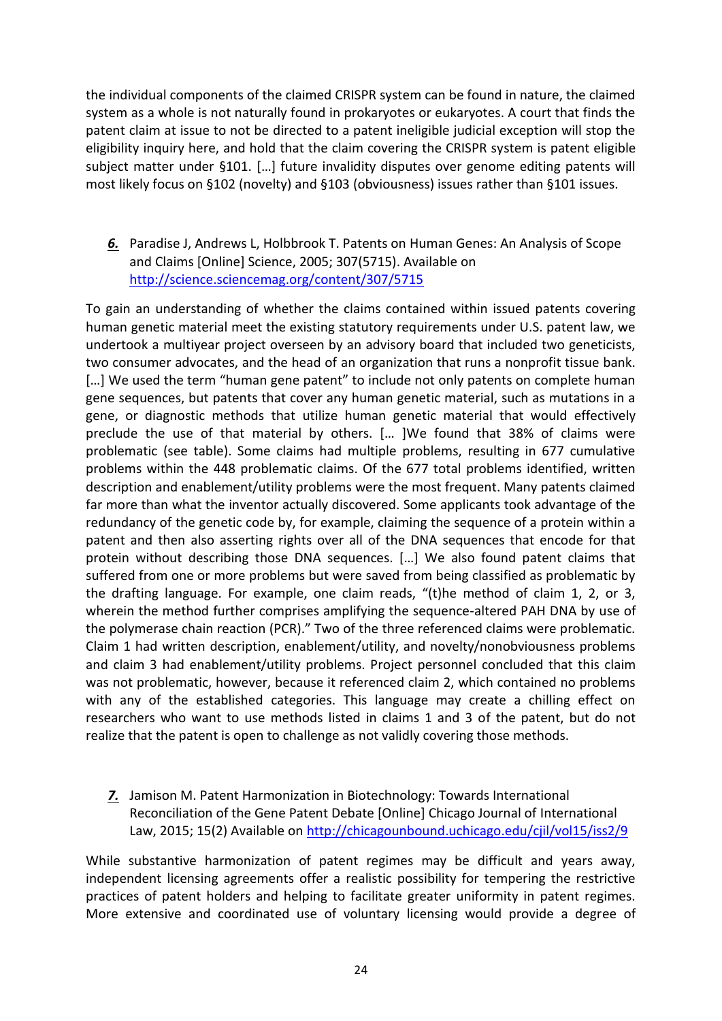the individual components of the claimed CRISPR system can be found in nature, the claimed system as a whole is not naturally found in prokaryotes or eukaryotes. A court that finds the patent claim at issue to not be directed to a patent ineligible judicial exception will stop the eligibility inquiry here, and hold that the claim covering the CRISPR system is patent eligible subject matter under §101. […] future invalidity disputes over genome editing patents will most likely focus on §102 (novelty) and §103 (obviousness) issues rather than §101 issues.

*6.* Paradise J, Andrews L, Holbbrook T. Patents on Human Genes: An Analysis of Scope and Claims [Online] Science, 2005; 307(5715). Available on <http://science.sciencemag.org/content/307/5715>

To gain an understanding of whether the claims contained within issued patents covering human genetic material meet the existing statutory requirements under U.S. patent law, we undertook a multiyear project overseen by an advisory board that included two geneticists, two consumer advocates, and the head of an organization that runs a nonprofit tissue bank. [...] We used the term "human gene patent" to include not only patents on complete human gene sequences, but patents that cover any human genetic material, such as mutations in a gene, or diagnostic methods that utilize human genetic material that would effectively preclude the use of that material by others. [… ]We found that 38% of claims were problematic (see table). Some claims had multiple problems, resulting in 677 cumulative problems within the 448 problematic claims. Of the 677 total problems identified, written description and enablement/utility problems were the most frequent. Many patents claimed far more than what the inventor actually discovered. Some applicants took advantage of the redundancy of the genetic code by, for example, claiming the sequence of a protein within a patent and then also asserting rights over all of the DNA sequences that encode for that protein without describing those DNA sequences. […] We also found patent claims that suffered from one or more problems but were saved from being classified as problematic by the drafting language. For example, one claim reads, "(t)he method of claim 1, 2, or 3, wherein the method further comprises amplifying the sequence-altered PAH DNA by use of the polymerase chain reaction (PCR)." Two of the three referenced claims were problematic. Claim 1 had written description, enablement/utility, and novelty/nonobviousness problems and claim 3 had enablement/utility problems. Project personnel concluded that this claim was not problematic, however, because it referenced claim 2, which contained no problems with any of the established categories. This language may create a chilling effect on researchers who want to use methods listed in claims 1 and 3 of the patent, but do not realize that the patent is open to challenge as not validly covering those methods.

*7.* Jamison M. Patent Harmonization in Biotechnology: Towards International Reconciliation of the Gene Patent Debate [Online] Chicago Journal of International Law, 2015; 15(2) Available on <http://chicagounbound.uchicago.edu/cjil/vol15/iss2/9>

While substantive harmonization of patent regimes may be difficult and years away, independent licensing agreements offer a realistic possibility for tempering the restrictive practices of patent holders and helping to facilitate greater uniformity in patent regimes. More extensive and coordinated use of voluntary licensing would provide a degree of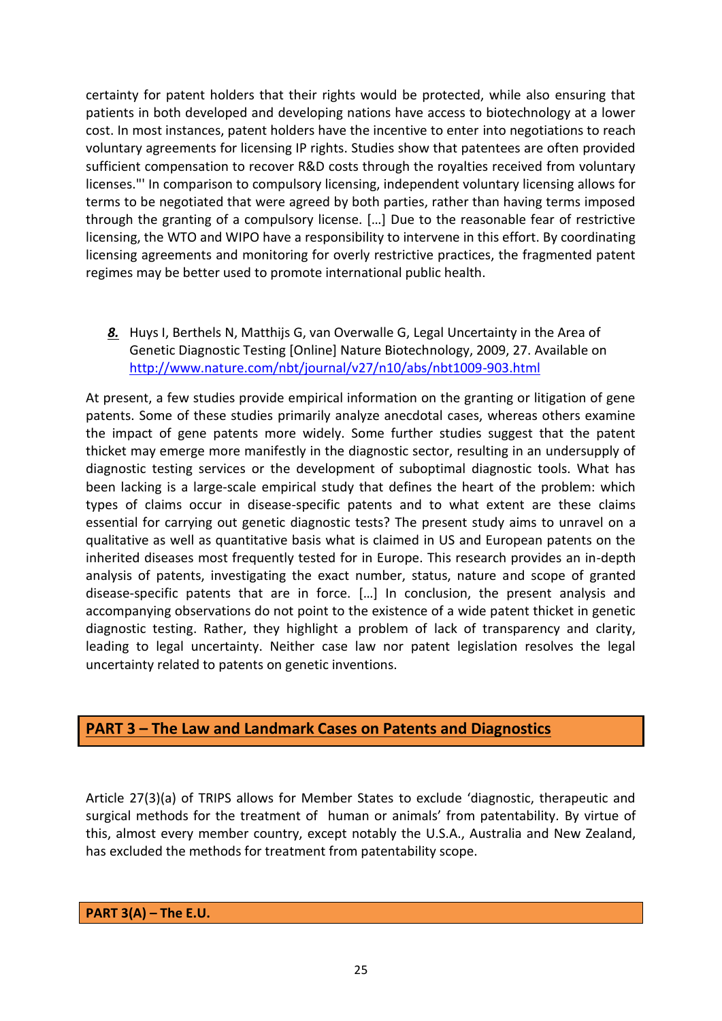certainty for patent holders that their rights would be protected, while also ensuring that patients in both developed and developing nations have access to biotechnology at a lower cost. In most instances, patent holders have the incentive to enter into negotiations to reach voluntary agreements for licensing IP rights. Studies show that patentees are often provided sufficient compensation to recover R&D costs through the royalties received from voluntary licenses."' In comparison to compulsory licensing, independent voluntary licensing allows for terms to be negotiated that were agreed by both parties, rather than having terms imposed through the granting of a compulsory license. […] Due to the reasonable fear of restrictive licensing, the WTO and WIPO have a responsibility to intervene in this effort. By coordinating licensing agreements and monitoring for overly restrictive practices, the fragmented patent regimes may be better used to promote international public health.

<span id="page-24-0"></span>*8.* Huys I, Berthels N, Matthijs G, van Overwalle G, Legal Uncertainty in the Area of Genetic Diagnostic Testing [Online] Nature Biotechnology, 2009, 27. Available on <http://www.nature.com/nbt/journal/v27/n10/abs/nbt1009-903.html>

At present, a few studies provide empirical information on the granting or litigation of gene patents. Some of these studies primarily analyze anecdotal cases, whereas others examine the impact of gene patents more widely. Some further studies suggest that the patent thicket may emerge more manifestly in the diagnostic sector, resulting in an undersupply of diagnostic testing services or the development of suboptimal diagnostic tools. What has been lacking is a large-scale empirical study that defines the heart of the problem: which types of claims occur in disease-specific patents and to what extent are these claims essential for carrying out genetic diagnostic tests? The present study aims to unravel on a qualitative as well as quantitative basis what is claimed in US and European patents on the inherited diseases most frequently tested for in Europe. This research provides an in-depth analysis of patents, investigating the exact number, status, nature and scope of granted disease-specific patents that are in force. […] In conclusion, the present analysis and accompanying observations do not point to the existence of a wide patent thicket in genetic diagnostic testing. Rather, they highlight a problem of lack of transparency and clarity, leading to legal uncertainty. Neither case law nor patent legislation resolves the legal uncertainty related to patents on genetic inventions.

# **PART 3 – The Law and Landmark Cases on Patents and Diagnostics**

Article 27(3)(a) of TRIPS allows for Member States to exclude 'diagnostic, therapeutic and surgical methods for the treatment of human or animals' from patentability. By virtue of this, almost every member country, except notably the U.S.A., Australia and New Zealand, has excluded the methods for treatment from patentability scope.

**PART 3(A) – The E.U.**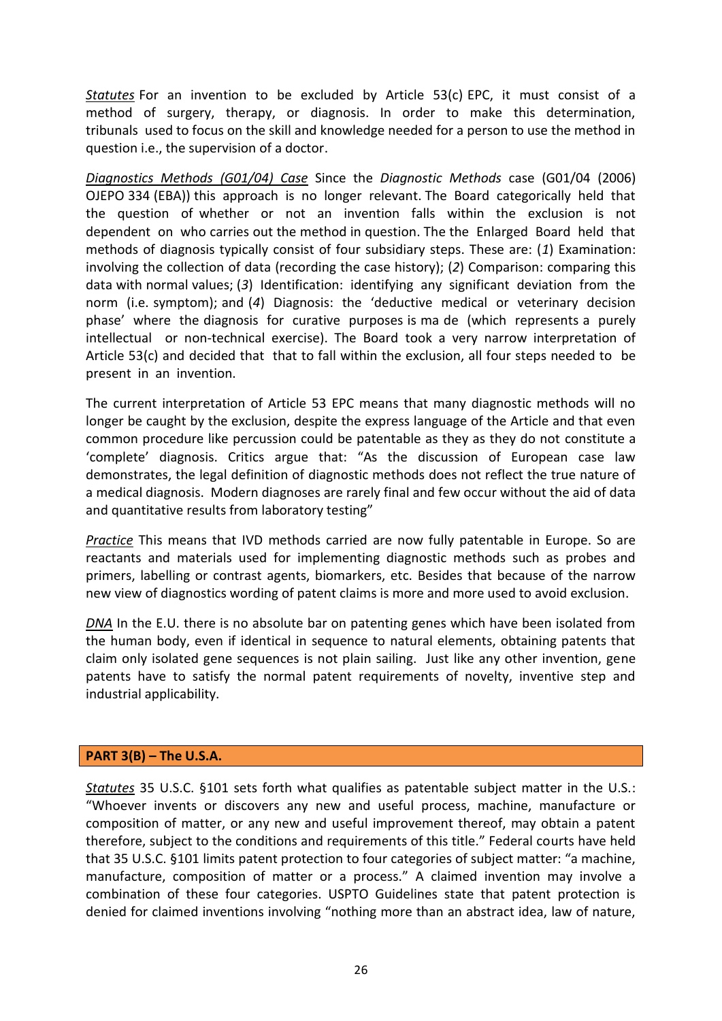*Statutes* For an invention to be excluded by Article 53(c) EPC, it must consist of a method of surgery, therapy, or diagnosis. In order to make this determination, tribunals used to focus on the skill and knowledge needed for a person to use the method in question i.e., the supervision of a doctor.

*Diagnostics Methods (G01/04) Case* Since the *Diagnostic Methods* case (G01/04 (2006) OJEPO 334 (EBA)) this approach is no longer relevant. The Board categorically held that the question of whether or not an invention falls within the exclusion is not dependent on who carries out the method in question. The the Enlarged Board held that methods of diagnosis typically consist of four subsidiary steps. These are: (*1*) Examination: involving the collection of data (recording the case history); (*2*) Comparison: comparing this data with normal values; (*3*) Identification: identifying any significant deviation from the norm (i.e. symptom); and (*4*) Diagnosis: the 'deductive medical or veterinary decision phase' where the diagnosis for curative purposes is ma de (which represents a purely intellectual or non-technical exercise). The Board took a very narrow interpretation of Article 53(c) and decided that that to fall within the exclusion, all four steps needed to be present in an invention.

The current interpretation of Article 53 EPC means that many diagnostic methods will no longer be caught by the exclusion, despite the express language of the Article and that even common procedure like percussion could be patentable as they as they do not constitute a 'complete' diagnosis. Critics argue that: "As the discussion of European case law demonstrates, the legal definition of diagnostic methods does not reflect the true nature of a medical diagnosis. Modern diagnoses are rarely final and few occur without the aid of data and quantitative results from laboratory testing"

*Practice* This means that IVD methods carried are now fully patentable in Europe. So are reactants and materials used for implementing diagnostic methods such as probes and primers, labelling or contrast agents, biomarkers, etc. Besides that because of the narrow new view of diagnostics wording of patent claims is more and more used to avoid exclusion.

*DNA* In the E.U. there is no absolute bar on patenting genes which have been isolated from the human body, even if identical in sequence to natural elements, obtaining patents that claim only isolated gene sequences is not plain sailing. Just like any other invention, gene patents have to satisfy the normal patent requirements of novelty, inventive step and industrial applicability.

### **PART 3(B) – The U.S.A.**

*Statutes* 35 U.S.C. §101 sets forth what qualifies as patentable subject matter in the U.S.: "Whoever invents or discovers any new and useful process, machine, manufacture or composition of matter, or any new and useful improvement thereof, may obtain a patent therefore, subject to the conditions and requirements of this title." Federal courts have held that 35 U.S.C. §101 limits patent protection to four categories of subject matter: "a machine, manufacture, composition of matter or a process." A claimed invention may involve a combination of these four categories. USPTO Guidelines state that patent protection is denied for claimed inventions involving "nothing more than an abstract idea, law of nature,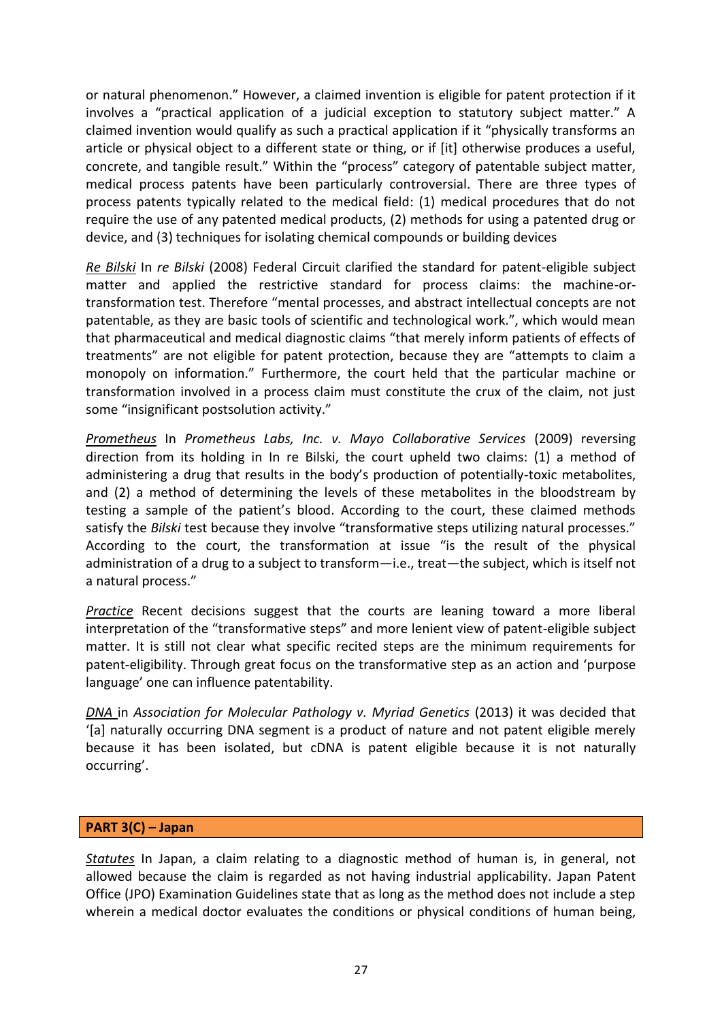or natural phenomenon." However, a claimed invention is eligible for patent protection if it involves a "practical application of a judicial exception to statutory subject matter." A claimed invention would qualify as such a practical application if it "physically transforms an article or physical object to a different state or thing, or if [it] otherwise produces a useful, concrete, and tangible result." Within the "process" category of patentable subject matter, medical process patents have been particularly controversial. There are three types of process patents typically related to the medical field: (1) medical procedures that do not require the use of any patented medical products, (2) methods for using a patented drug or device, and (3) techniques for isolating chemical compounds or building devices

*Re Bilski* In *re Bilski* (2008) Federal Circuit clarified the standard for patent-eligible subject matter and applied the restrictive standard for process claims: the machine-ortransformation test. Therefore "mental processes, and abstract intellectual concepts are not patentable, as they are basic tools of scientific and technological work.", which would mean that pharmaceutical and medical diagnostic claims "that merely inform patients of effects of treatments" are not eligible for patent protection, because they are "attempts to claim a monopoly on information." Furthermore, the court held that the particular machine or transformation involved in a process claim must constitute the crux of the claim, not just some "insignificant postsolution activity."

*Prometheus* In *Prometheus Labs, Inc. v. Mayo Collaborative Services* (2009) reversing direction from its holding in In re Bilski, the court upheld two claims: (1) a method of administering a drug that results in the body's production of potentially-toxic metabolites, and (2) a method of determining the levels of these metabolites in the bloodstream by testing a sample of the patient's blood. According to the court, these claimed methods satisfy the *Bilski* test because they involve "transformative steps utilizing natural processes." According to the court, the transformation at issue "is the result of the physical administration of a drug to a subject to transform—i.e., treat—the subject, which is itself not a natural process."

*Practice* Recent decisions suggest that the courts are leaning toward a more liberal interpretation of the "transformative steps" and more lenient view of patent-eligible subject matter. It is still not clear what specific recited steps are the minimum requirements for patent-eligibility. Through great focus on the transformative step as an action and 'purpose language' one can influence patentability.

*DNA* in *Association for Molecular Pathology v. Myriad Genetics* (2013) it was decided that '[a] naturally occurring DNA segment is a product of nature and not patent eligible merely because it has been isolated, but cDNA is patent eligible because it is not naturally occurring'.

### **PART 3(C) – Japan**

*Statutes* In Japan, a claim relating to a diagnostic method of human is, in general, not allowed because the claim is regarded as not having industrial applicability. Japan Patent Office (JPO) Examination Guidelines state that as long as the method does not include a step wherein a medical doctor evaluates the conditions or physical conditions of human being,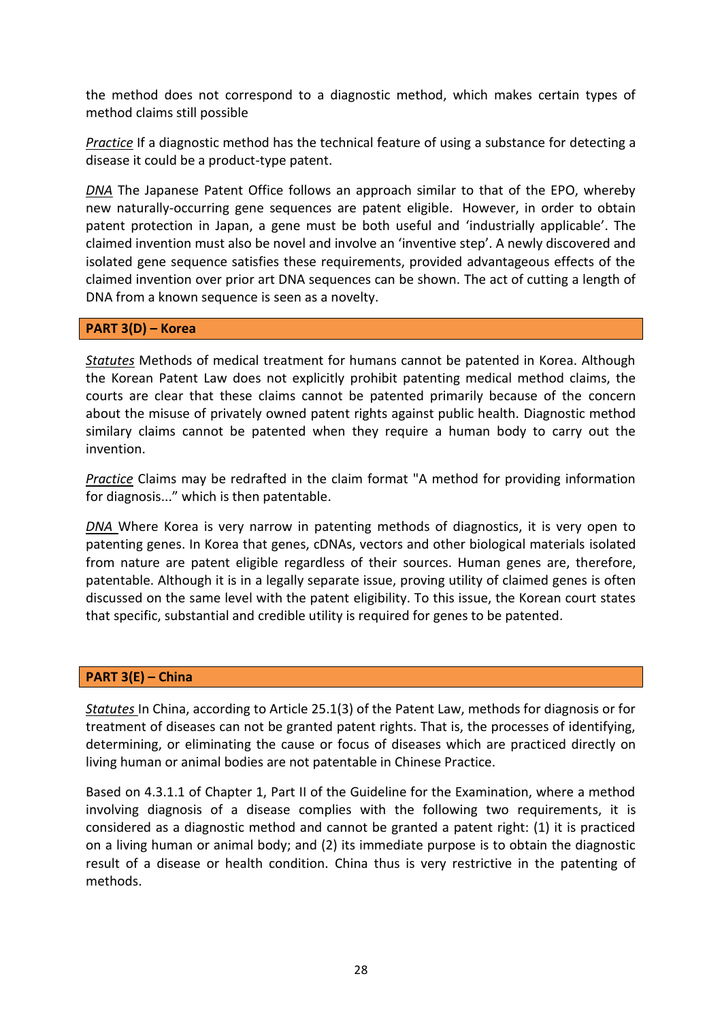the method does not correspond to a diagnostic method, which makes certain types of method claims still possible

*Practice* If a diagnostic method has the technical feature of using a substance for detecting a disease it could be a product-type patent.

*DNA* The Japanese Patent Office follows an approach similar to that of the EPO, whereby new naturally-occurring gene sequences are patent eligible. However, in order to obtain patent protection in Japan, a gene must be both useful and 'industrially applicable'. The claimed invention must also be novel and involve an 'inventive step'. A newly discovered and isolated gene sequence satisfies these requirements, provided advantageous effects of the claimed invention over prior art DNA sequences can be shown. The act of cutting a length of DNA from a known sequence is seen as a novelty.

#### **PART 3(D) – Korea**

*Statutes* Methods of medical treatment for humans cannot be patented in Korea. Although the Korean Patent Law does not explicitly prohibit patenting medical method claims, the courts are clear that these claims cannot be patented primarily because of the concern about the misuse of privately owned patent rights against public health. Diagnostic method similary claims cannot be patented when they require a human body to carry out the invention.

*Practice* Claims may be redrafted in the claim format "A method for providing information for diagnosis..." which is then patentable.

*DNA* Where Korea is very narrow in patenting methods of diagnostics, it is very open to patenting genes. In Korea that genes, cDNAs, vectors and other biological materials isolated from nature are patent eligible regardless of their sources. Human genes are, therefore, patentable. Although it is in a legally separate issue, proving utility of claimed genes is often discussed on the same level with the patent eligibility. To this issue, the Korean court states that specific, substantial and credible utility is required for genes to be patented.

### **PART 3(E) – China**

*Statutes* In China, according to Article 25.1(3) of the Patent Law, methods for diagnosis or for treatment of diseases can not be granted patent rights. That is, the processes of identifying, determining, or eliminating the cause or focus of diseases which are practiced directly on living human or animal bodies are not patentable in Chinese Practice.

Based on 4.3.1.1 of Chapter 1, Part II of the Guideline for the Examination, where a method involving diagnosis of a disease complies with the following two requirements, it is considered as a diagnostic method and cannot be granted a patent right: (1) it is practiced on a living human or animal body; and (2) its immediate purpose is to obtain the diagnostic result of a disease or health condition. China thus is very restrictive in the patenting of methods.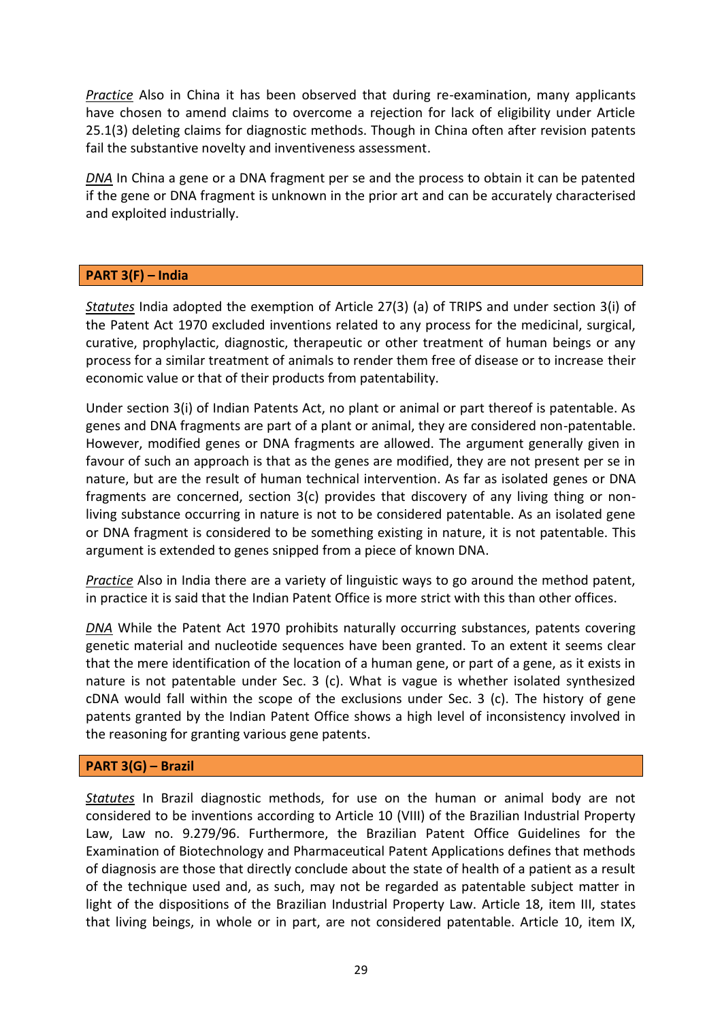*Practice* Also in China it has been observed that during re-examination, many applicants have chosen to amend claims to overcome a rejection for lack of eligibility under Article 25.1(3) deleting claims for diagnostic methods. Though in China often after revision patents fail the substantive novelty and inventiveness assessment.

*DNA* In China a gene or a DNA fragment per se and the process to obtain it can be patented if the gene or DNA fragment is unknown in the prior art and can be accurately characterised and exploited industrially.

### **PART 3(F) – India**

*Statutes* India adopted the exemption of Article 27(3) (a) of TRIPS and under section 3(i) of the Patent Act 1970 excluded inventions related to any process for the medicinal, surgical, curative, prophylactic, diagnostic, therapeutic or other treatment of human beings or any process for a similar treatment of animals to render them free of disease or to increase their economic value or that of their products from patentability.

Under section 3(i) of Indian Patents Act, no plant or animal or part thereof is patentable. As genes and DNA fragments are part of a plant or animal, they are considered non-patentable. However, modified genes or DNA fragments are allowed. The argument generally given in favour of such an approach is that as the genes are modified, they are not present per se in nature, but are the result of human technical intervention. As far as isolated genes or DNA fragments are concerned, section 3(c) provides that discovery of any living thing or nonliving substance occurring in nature is not to be considered patentable. As an isolated gene or DNA fragment is considered to be something existing in nature, it is not patentable. This argument is extended to genes snipped from a piece of known DNA.

*Practice* Also in India there are a variety of linguistic ways to go around the method patent, in practice it is said that the Indian Patent Office is more strict with this than other offices.

*DNA* While the Patent Act 1970 prohibits naturally occurring substances, patents covering genetic material and nucleotide sequences have been granted. To an extent it seems clear that the mere identification of the location of a human gene, or part of a gene, as it exists in nature is not patentable under Sec. 3 (c). What is vague is whether isolated synthesized cDNA would fall within the scope of the exclusions under Sec. 3 (c). The history of gene patents granted by the Indian Patent Office shows a high level of inconsistency involved in the reasoning for granting various gene patents.

### **PART 3(G) – Brazil**

*Statutes* In Brazil diagnostic methods, for use on the human or animal body are not considered to be inventions according to Article 10 (VIII) of the Brazilian Industrial Property Law, Law no. 9.279/96. Furthermore, the Brazilian Patent Office Guidelines for the Examination of Biotechnology and Pharmaceutical Patent Applications defines that methods of diagnosis are those that directly conclude about the state of health of a patient as a result of the technique used and, as such, may not be regarded as patentable subject matter in light of the dispositions of the Brazilian Industrial Property Law. Article 18, item III, states that living beings, in whole or in part, are not considered patentable. Article 10, item IX,